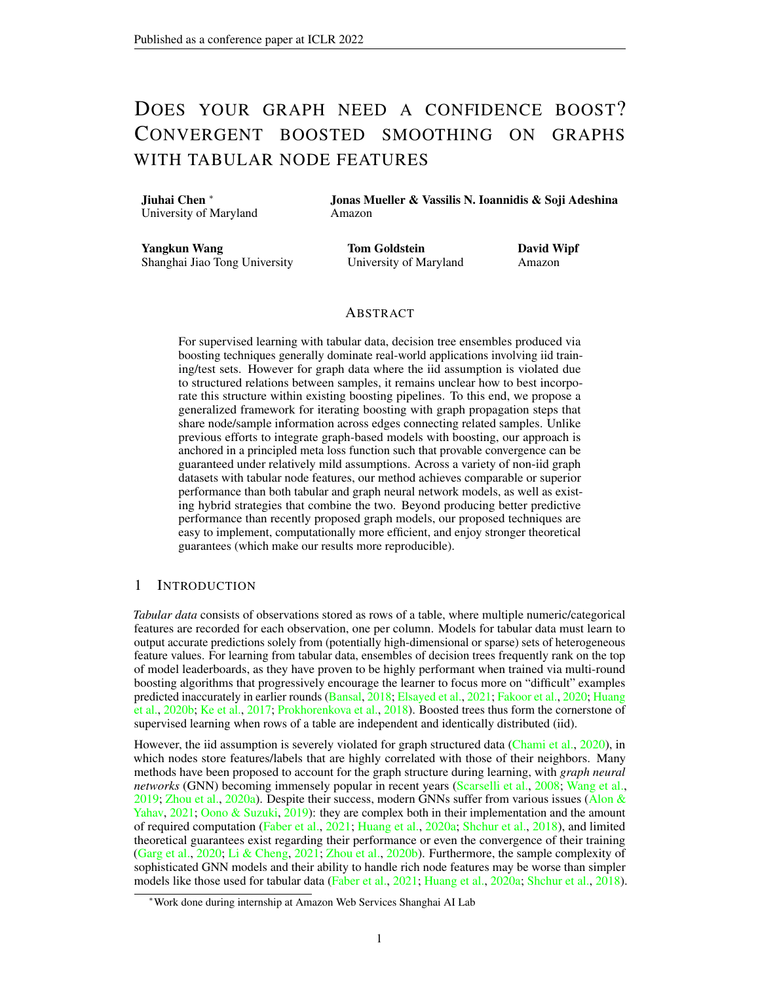## <span id="page-0-0"></span>DOES YOUR GRAPH NEED A CONFIDENCE BOOST? CONVERGENT BOOSTED SMOOTHING ON GRAPHS WITH TABULAR NODE FEATURES

Jiuhai Chen <sup>∗</sup> University of Maryland Jonas Mueller & Vassilis N. Ioannidis & Soji Adeshina Amazon

Yangkun Wang Shanghai Jiao Tong University Tom Goldstein University of Maryland David Wipf Amazon

## ABSTRACT

For supervised learning with tabular data, decision tree ensembles produced via boosting techniques generally dominate real-world applications involving iid training/test sets. However for graph data where the iid assumption is violated due to structured relations between samples, it remains unclear how to best incorporate this structure within existing boosting pipelines. To this end, we propose a generalized framework for iterating boosting with graph propagation steps that share node/sample information across edges connecting related samples. Unlike previous efforts to integrate graph-based models with boosting, our approach is anchored in a principled meta loss function such that provable convergence can be guaranteed under relatively mild assumptions. Across a variety of non-iid graph datasets with tabular node features, our method achieves comparable or superior performance than both tabular and graph neural network models, as well as existing hybrid strategies that combine the two. Beyond producing better predictive performance than recently proposed graph models, our proposed techniques are easy to implement, computationally more efficient, and enjoy stronger theoretical guarantees (which make our results more reproducible).

#### 1 INTRODUCTION

*Tabular data* consists of observations stored as rows of a table, where multiple numeric/categorical features are recorded for each observation, one per column. Models for tabular data must learn to output accurate predictions solely from (potentially high-dimensional or sparse) sets of heterogeneous feature values. For learning from tabular data, ensembles of decision trees frequently rank on the top of model leaderboards, as they have proven to be highly performant when trained via multi-round boosting algorithms that progressively encourage the learner to focus more on "difficult" examples predicted inaccurately in earlier rounds [\(Bansal,](#page-9-0) [2018;](#page-9-0) [Elsayed et al.,](#page-9-1) [2021;](#page-9-1) [Fakoor et al.,](#page-9-2) [2020;](#page-9-2) [Huang](#page-9-3) [et al.,](#page-9-3) [2020b;](#page-9-3) [Ke et al.,](#page-9-4) [2017;](#page-9-4) [Prokhorenkova et al.,](#page-10-0) [2018\)](#page-10-0). Boosted trees thus form the cornerstone of supervised learning when rows of a table are independent and identically distributed (iid).

However, the iid assumption is severely violated for graph structured data [\(Chami et al.,](#page-9-5) [2020\)](#page-9-5), in which nodes store features/labels that are highly correlated with those of their neighbors. Many methods have been proposed to account for the graph structure during learning, with *graph neural networks* (GNN) becoming immensely popular in recent years [\(Scarselli et al.,](#page-10-1) [2008;](#page-10-1) [Wang et al.,](#page-10-2) [2019;](#page-10-2) [Zhou et al.,](#page-11-0) [2020a\)](#page-11-0). Despite their success, modern GNNs suffer from various issues (Alon  $\&$ [Yahav,](#page-9-6) [2021;](#page-9-6) [Oono & Suzuki,](#page-10-3) [2019\)](#page-10-3): they are complex both in their implementation and the amount of required computation [\(Faber et al.,](#page-9-7) [2021;](#page-9-7) [Huang et al.,](#page-9-8) [2020a;](#page-9-8) [Shchur et al.,](#page-10-4) [2018\)](#page-10-4), and limited theoretical guarantees exist regarding their performance or even the convergence of their training [\(Garg et al.,](#page-9-9) [2020;](#page-9-9) [Li & Cheng,](#page-10-5) [2021;](#page-10-5) [Zhou et al.,](#page-11-1) [2020b\)](#page-11-1). Furthermore, the sample complexity of sophisticated GNN models and their ability to handle rich node features may be worse than simpler models like those used for tabular data [\(Faber et al.,](#page-9-7) [2021;](#page-9-7) [Huang et al.,](#page-9-8) [2020a;](#page-9-8) [Shchur et al.,](#page-10-4) [2018\)](#page-10-4).

<sup>∗</sup>Work done during internship at Amazon Web Services Shanghai AI Lab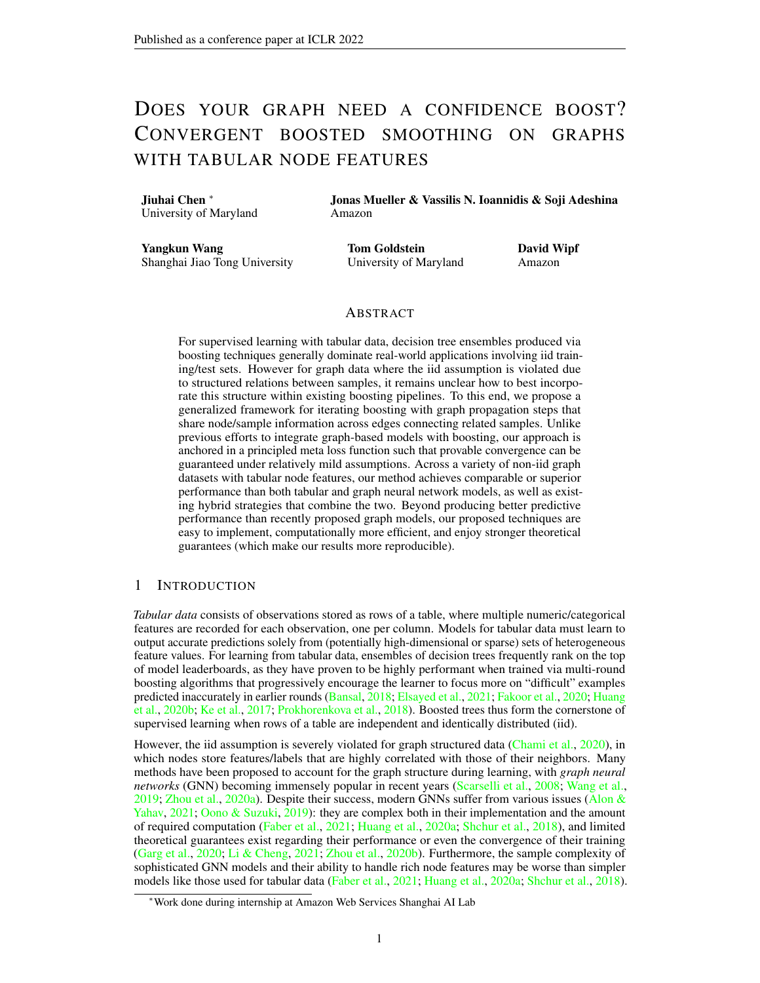Graph datasets store tabular feature vectors, along with additional edge information. Despite the close relationship between graph and tabular data, there has been little work on how to adapt powerful boosting methods – our sharpest tool for dissecting tabular data – to account for edges. Here we consider how to best leverage tabular models for non-iid node classification/regression tasks in graphs. We focus on settings where each node is associated with tabular (numeric/categorical) features  *and* labels y, and the goal is to predict the labels of certain nodes. Straightforward application of tabular modeling (in which nodes are treated as iid examples) will produce a learned mapping where training and inference are uninformed by how nodes are arranged in the graph.

To account for the graph structure, we introduce simple graph propagation operations into the definition of a modified, non-iid boosting loss function, such that edge information can be exploited to improve model accuracy relative to classical alternatives [\(Friedman,](#page-9-10) [2001\)](#page-9-10). We refer to the resulting algorithm as EBBS which stands for *efficient bilevel boosted smoothing*, whereby the end-to-end training of a bilevel loss is such that values of the boosted base model f *ebb and flow* across the input graph producing a smoothed predictor  $f$ . And unlike an existing adaptation of boosting for graph data [\(Ivanov & Prokhorenkova,](#page-9-11) [2021\)](#page-9-11), our approach is simpler (no GNN or other auxiliary model required), produces more accurate predictions on benchmark datasets, and enjoys reliable convergence guarantees.

## 2 BACKGROUND

Consider a graph G with a set of vertices, i.e. nodes,  $V$ ,  $fv_1, v_2, \ldots, v_n$  whose connectivity is described by the edge set E ,  $f(v_i, v_j) \geq V$  Vg, where the tuple of nodes  $(v_i, v_j)$  implies a relationship among  $v_i$  and  $v_j$ . The edge set is represented by the adjacency matrix  $\mathbf{A} = (a_{ij})_{n \times n}$  2  $R^{n \times n}$ , whose entry  $a_{ij}$  is nonzero if  $(v_i, v_j) \n\supseteq E$ . In node prediction tasks, each node  $v_i$  is associated with a feature vector  $x_i \n\supseteq \mathbb{R}^{d_0}$ , as well as a label  $y_i \supseteq \mathbb{R}^c$  that might hold discrete or continuous values (corresponding to classification or regression tasks). In certain cases we have access to the labels at only a subset of nodes  $f\mathbf{y}_i g_{i \in \mathcal{L}}$ , with  $\mathcal{L}$   $\mathcal{V}$ . Given  $f\mathbf{y}_i g_{i \in \mathcal{L}}$ , the connectivity of the graph E, and the feature values of all nodes  $f\mathbf{x}_i g_{i \in \mathcal{V}}$ , our task is to predict the labels of the unlabeled nodes  $f\mathbf{y}_i g_{i\in\mathcal{U}}$ , with  $\mathcal{U} = \mathcal{V} \cap \mathcal{L}$ . In the most straightforward application, a tabular model may simply be fit to dataset  $f(\mathbf{x}_i, \mathbf{y}_i) g_{i \in \mathcal{L}}$ , disregarding that the observations are not iid. For prediction, the learned model is then independently applied to each  $x_i$  for  $i \, 2 \, U$ . Of course this naive approach may fare poorly as it fails to leverage  $E$ , but we note that it empirically performs better than one might expect on certain graph datasets (where perhaps each  $x_i$  contains sufficiently rich information to infer the corresponding  $y_i$ , or nodes connected in  $E$  only exhibit weak correlation in their features or labels) [\(Faber et al.,](#page-9-7) [2021;](#page-9-7) [Huang et al.,](#page-9-8) [2020a;](#page-9-8) [Ivanov & Prokhorenkova,](#page-9-11) [2021\)](#page-9-11).

#### 2.1 GRADIENT BOOSTED DECISION TREES (GBDT)

GBDT represents a popular model for iid (non-graph) tabular data [\(Friedman,](#page-9-10) [2001\)](#page-9-10), whereby remarkably accurate predictions are produced by an ensemble of weak learners. Formally, at each iteration t of boosting, the current ensemble model  $f^{(t)}(x)$  is updated in an additive manner via

<span id="page-1-0"></span>
$$
f^{(t+1)}(\mathbf{x}) = f^{(t)}(\mathbf{x}) + \eta^{(t)}h^{(t)}(\mathbf{x}),
$$

where  $h^{(t)}(x)$  is a weaker learner selected from some candidate function space H (typically decision trees), and  $\eta^{(t)}$  is the learning rate calculated with the aid of line search. The weak learner  $h^{(t)}$  2 H is chosen to approximate the pseudo-residuals given by the negative gradient of some loss function  $\ell$ w.r.t the current model's predictions. This involves solving

$$
h^{(t)} = \arg\min_{h \in \mathcal{H}} \sum_{i=1}^{m} \left\| \frac{\partial \ell(\mathbf{y}_i, f^{(t)}(\mathbf{x}_i))}{\partial f^{(t)}(\mathbf{x}_i)} - h(\mathbf{x}_i) \right\|_2^2, \tag{1}
$$

where  $f\mathbf{x}_i, \mathbf{y}_i g_{i=1}^m$  is a set of m training points. Decision trees are constructed by a recursive partition of feature space into  $J_t$  disjoint regions  $R_{1t}$ , ...,  $R_{J_t}$  to minimize the loss function [\(1\)](#page-1-0) and predict a constant value  $b_{jt}$  in each region  $R_{jt}$ . The output of  $h^{(t)}(x)$  can be written as the sum:  $h^{(t)}(\mathbf{x}) = \sum_{j=1}^{J_t} b_j t \mathbf{1}_{\mathcal{R}_{j,t}}(\mathbf{x})$ , where 1 is the indicator notation. Many efficient GBDT implementations are available today [\(Ke et al.,](#page-9-4) [2017;](#page-9-4) [Prokhorenkova et al.,](#page-10-0) [2018;](#page-10-0) [Wen et al.,](#page-11-2) [2019\)](#page-11-2),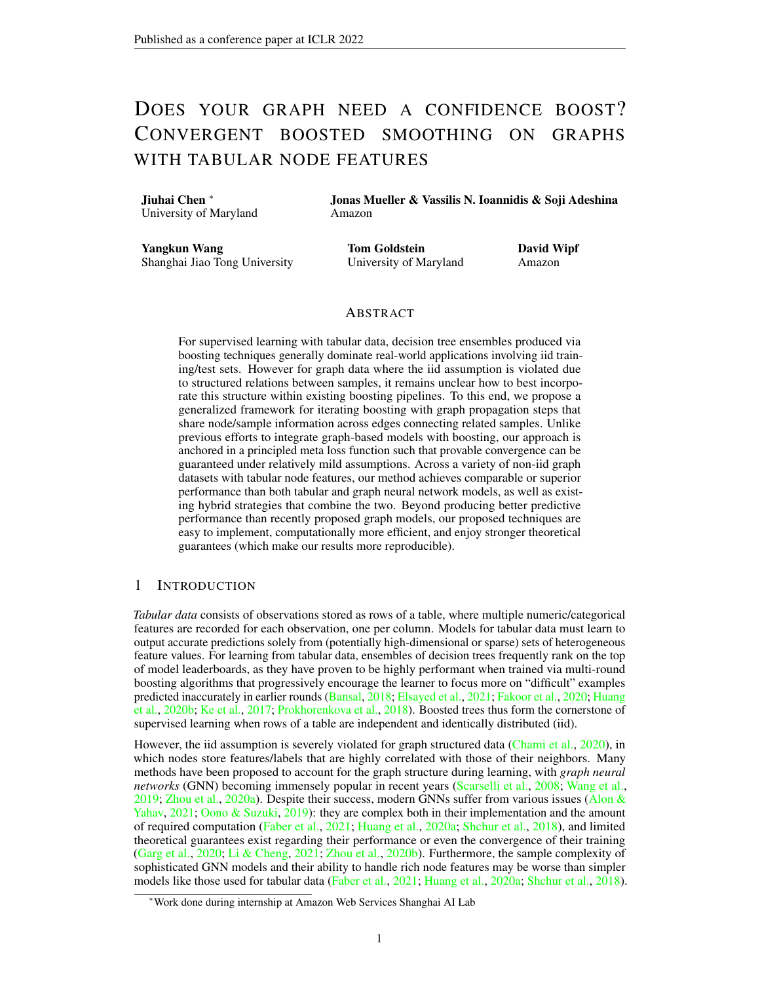and these models can easily be trained for nonstandard prediction tasks via custom loss functions [\(Elsayed et al.,](#page-9-1) [2021;](#page-9-1) [Li et al.,](#page-10-6) [2007;](#page-10-6) [Velthoen et al.,](#page-10-7) [2021\)](#page-10-7).

#### 2.2 PRIOR ATTEMPTS TO COMBINE BOOSTING WITH GRAPH NEURAL NETWORKS

The AdaGCN model from [Sun et al.](#page-10-8) [\(2019\)](#page-10-8) proposes a GNN architecture motivated by the structure of AdaBoost iterations; however, this approach is not actually designed to handle tabular data. More related to our work is the boosted graph neural network (BGNN) approach from Ivanov  $\&$ [Prokhorenkova](#page-9-11) [\(2021\)](#page-9-11), which proposes a novel architecture that jointly trains GBDT and GNN models. Within this framework, GBDT extracts predictive information from node features and the GNN accounts for the graph structure, achieving a significant performance increase on various graph datasets with tabular features.

In the first iteration, BGNN builds a GBDT model  $f^{(1)}(x)$  over the training node features that are treated essentially as iid tabular data. Using all GBDT predictions, BGNN then concatenates these with the original node features and subsequently uses these as inputs to a GNN model. Next, the GNN is trained with  $l$  steps of gradient descent to optimize network parameters as well as the input node features themselves by backpropagating gradients entirely through the GNN into its input space. BGNN uses the difference between the optimized node features and input node features as a new target value for the next decision tree in the subsequent boosting round. After GBDT has been updated with the addition of the new tree, it makes predictions that are used to augment the node features for subsequent use in the GNN, and the process repeats until some stopping criteria is met.

While BGNN has thus far demonstrated promising empirical results, there is no guarantee of convergence or even cost function descent. Our EBBS model addresses this issue through a fully integrated alternative described in Section [3,](#page-2-0) which enjoys convergence guarantees provided in Section [4.](#page-5-0) Besides its favorable analytical properties, EBBS naturally supports a suite of graph-based regularizers promoting different properties described in Section [3.4,](#page-5-1) empirically achieves higher accuracy, and is less prone to overfitting without careful hyperparameter-tuning since the graph is accounted for via a simple regularizer instead of an additional parameterized GNN model. Appendix [B](#page-12-0) provides further discussion about the connection between EBBS and BGNN, highlighting key technical differences.

## <span id="page-2-0"></span>3 END-TO-END INTEGRATION OF GRAPH PROPAGATION AND BOOSTING

In this section we describe our method for combining GBDT with graph-aware propagation layers. We first describe a general family of propagation layers that mimic gradient descent steps along a principled graph-regularized loss, followed by the derivation of a bilevel optimization algorithm that exploits these layers. In terms of notation, we will henceforth use  $m_i$  to reference the *i*-th row of an arbitrary matrix M.

#### 3.1 GRAPH-AWARE PROPAGATION LAYERS INSPIRED BY GRADIENT DESCENT

Recently there has been a surge of interest in GNN architectures with layers defined with respect to the minimization of a principled class of graph-regularized energy functions [\(Klicpera et al.,](#page-9-12) [2018;](#page-9-12) [Ma et al.,](#page-10-9) [2020;](#page-10-9) [Pan et al.,](#page-10-10) [2021;](#page-10-10) [Yang et al.,](#page-11-3) [2021;](#page-11-3) [Zhang et al.,](#page-11-4) [2020;](#page-11-4) [Zhu et al.,](#page-11-5) [2021\)](#page-11-5). In this context, the basic idea is to associate each descent step along an optimization trajectory (e.g., a gradient descent step, power iteration, or related), with a GNN layer, such that in aggregate, the forward GNN pass can be viewed as minimization of the original energy. Hence GNN training can benefit from the inductive bias afforded by energy function minimizers (or close approximations thereof) whose specific form can be controlled by trainable parameters.

<span id="page-2-1"></span>The most common instantiation of this framework, with roots in [Zhou et al.](#page-11-6) [\(2004\)](#page-11-6), begins with the energy

$$
\ell_Z(Z), \quad kZ \quad f(X; \ )k_{\mathcal{F}}^2 + \lambda tr \left[ Z^{\top} L Z \right], \tag{2}
$$

where  $\lambda$  is a trade-off parameter,  $Z \nightharpoonup R^{n \times d}$  is a learnable embedding of d-dimensional features across n nodes, and  $f(\mathbf{X})$  denotes a base model (parameterized by ) that computes an initial target embedding based on the  $d_0$ -dimensional node features  $X \supset R^{n \times d_0}$ . We also define the graph Laplacian of G as  $L \geq R^{n \times n}$ , meaning  $L = D$  A, where D represents the degree matrix.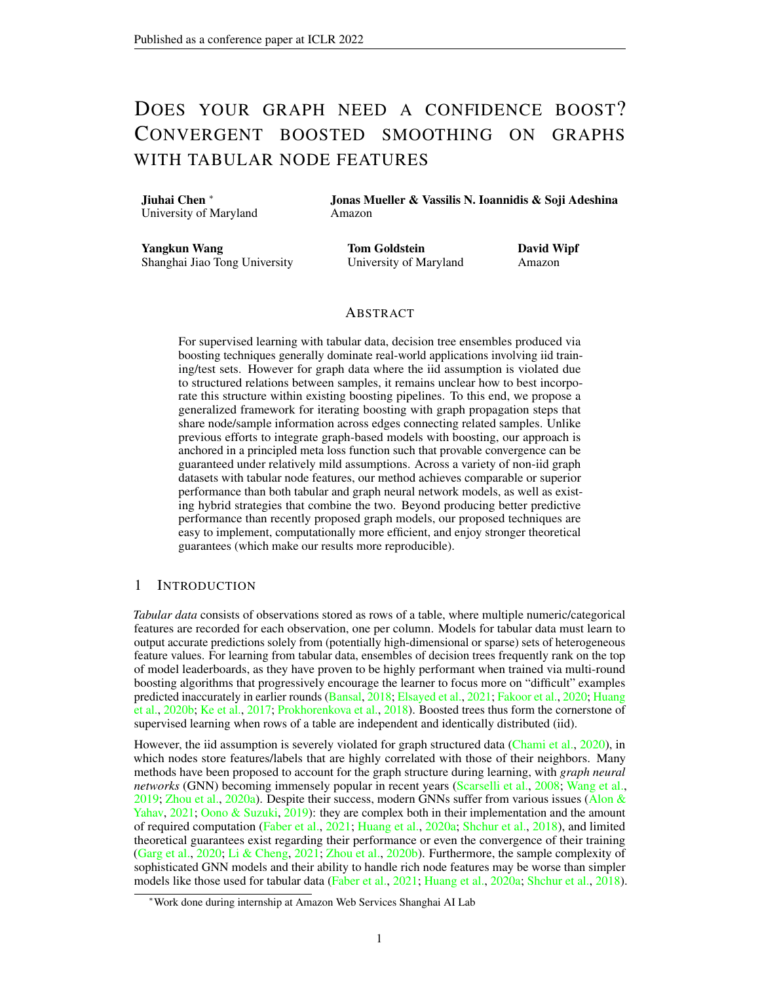Intuitively, solutions of [\(2\)](#page-2-1) reflect a balance between proximity to  $f(\mathbf{X})$  and minimal quadratic differences across graph edges as enforced by the trace term tr  $\left[ \mathcal{Z}^\top \mathcal{L} \mathcal{Z} \right] = \sum_{\{i:j\} \in \mathcal{E}} k \mathcal{Z}_i - \mathcal{Z}_j k_2^2$  $\frac{2}{2}$ more general regularization factors are considered in Section [3.4.](#page-5-1) On the positive side, [\(2\)](#page-2-1) can be solved in closed-form via

<span id="page-3-2"></span>
$$
\widetilde{f}^*(X; \ ) \ , \ \ \arg\min_{Z} \ell_Z(Z) = P^* f(X; \ ) \ , \ \ \text{with} \ \ P^* \ , \ \ (I + \lambda L)^{-1} \ . \tag{3}
$$

However, for large graphs the requisite inverse is not practically-feasible to compute, and instead iterative approximations are preferable. To this end, we may initialize as  $\mathcal{Z}^{(0)} = f(\mathcal{X};-)$ , and then proceed to iteratively descend in the direction of the negative gradient. Given that

<span id="page-3-1"></span><span id="page-3-0"></span>
$$
\frac{\partial \ell_Z(Z)}{\partial Z} = 2\lambda LZ + 2Z \quad 2f(X; \t), \t\t(4)
$$

the  $k$ -th iteration of gradient descent becomes

$$
Z^{(k)} = Z^{(k-1)} \quad \alpha \left[ (\lambda L + I) Z^{(k-1)} \quad f(X; \ ) \right], \tag{5}
$$

where  $\frac{1}{2}$  serves as the effective step size. Given that L is generally sparse, computation of [\(5\)](#page-3-0) can leverage efficient sparse matrix multiplications, and we may also introduce modifications such as Jacobi preconditioning to speed convergence [\(Axelsson,](#page-9-13) [1996;](#page-9-13) [Yang et al.,](#page-11-3) [2021\)](#page-11-3). Furthermore, based on well-known properties of gradient descent, if k is sufficiently large and  $\alpha$  is small enough, then

$$
\widetilde{f}^*(X; \cdot) \qquad \widetilde{f}^{(k)}(X; \cdot) \qquad P^{(k)}[f(X; \cdot)], \qquad (6)
$$

where the operator  $P^{(k)}$  () computes k gradient steps via [\(5\)](#page-3-0). The structure of these propagation steps, as well as related variants based on normalized modifications of gradient descent, equate to principled GNN layers, such as those used by GCN (Kipf  $\&$  Welling, [2016\)](#page-9-14), APPNP [\(Klicpera et al.,](#page-9-12)  $2018$ ), and many others, which can be trained within a broader bilevel optimization framework as described next.

#### <span id="page-3-3"></span>3.2 FROM GRAPH-AWARE PROPAGATION TO BILEVEL OPTIMIZATION

Given that the updated embeddings  $f^{(k)}(\mathbf{X}; \cdot)$  represent a graph regularized version of the base estimator  $f(X_i)$ , we obtain a natural candidate predictor for application to downstream tasks such as node classification. Of course this presupposes that the parameters can be suitably trained, particularly in an end-to-end manner that accounts for the propagation operator  $P^{(k)}$ . To this end, we can insert  $\hat{f}^{(k)}(\boldsymbol{X}; \cdot)$  within an application-specific meta-loss given by

<span id="page-3-4"></span>
$$
\ell^{(k)}\left(\begin{array}{c}\right), \sum_{i=1}^{m} D\left(g\left[\widetilde{f}^{(k)}\left(\boldsymbol{X};\right)\right],\boldsymbol{y}_{i}\right),\end{array}
$$
\n(7)

where  $g : \mathbb{R}^d$  /  $\mathbb{R}^c$  is some differentiable node-wise function, possibly an identity mapping, with c-dimensional output. Additionally,  $\tilde{f}^{(k)}(\mathbf{X}; \cdot)$ , is the *i*-th row of  $\tilde{f}^{(k)}(\mathbf{X}; \cdot)$ ,  $m < n$  is the number of labeled nodes and  $D$  is some discriminator function, e.g., cross-entropy for classification, squared error for regression. We may then optimize  $\ell^{(k)}$  () over to obtain our final predictive model.

In prior work [\(Klicpera et al.,](#page-9-12) [2018;](#page-9-12) [Ma et al.,](#page-10-9) [2020;](#page-10-9) [Pan et al.,](#page-10-10) [2021;](#page-10-10) [Yang et al.,](#page-11-3) [2021;](#page-11-3) [Zhang et al.,](#page-11-4) [2020;](#page-11-4) [Zhu et al.,](#page-11-5) [2021\)](#page-11-5), this type of bilevel optimization framework has been adopted to either unify and explain existing GNN models, or motivate alternatives by varying the structure of  $P^{(k)}$ . However, in all cases to date that we are aware of, it has been assumed that  $f(X; \cdot)$  is differentiable, typically either a linear function or an MLP. Hence because  $P^{(k)}$  is also differentiable,  $\partial \ell^{(k)}$  ( )  $/\partial$  can be computed to facilitate end-to-end training via stochastic gradient descent (SGD). In contrast, to accommodate tabular data, we instead choose to define  $f(X_i)$  via decision trees such that SGD is no longer viable . Consequently, we turn to gradient boosting as outlined next.

#### 3.3 BILEVEL BOOSTING

Let  $\left(t\right)$  denote the gradient boosting parameters that have accumulated through iteration t such that  $f(X; \text{ }^{(t)}$  represents the weighted summation of weak learners from  $1, \ldots, t$ . We also assume that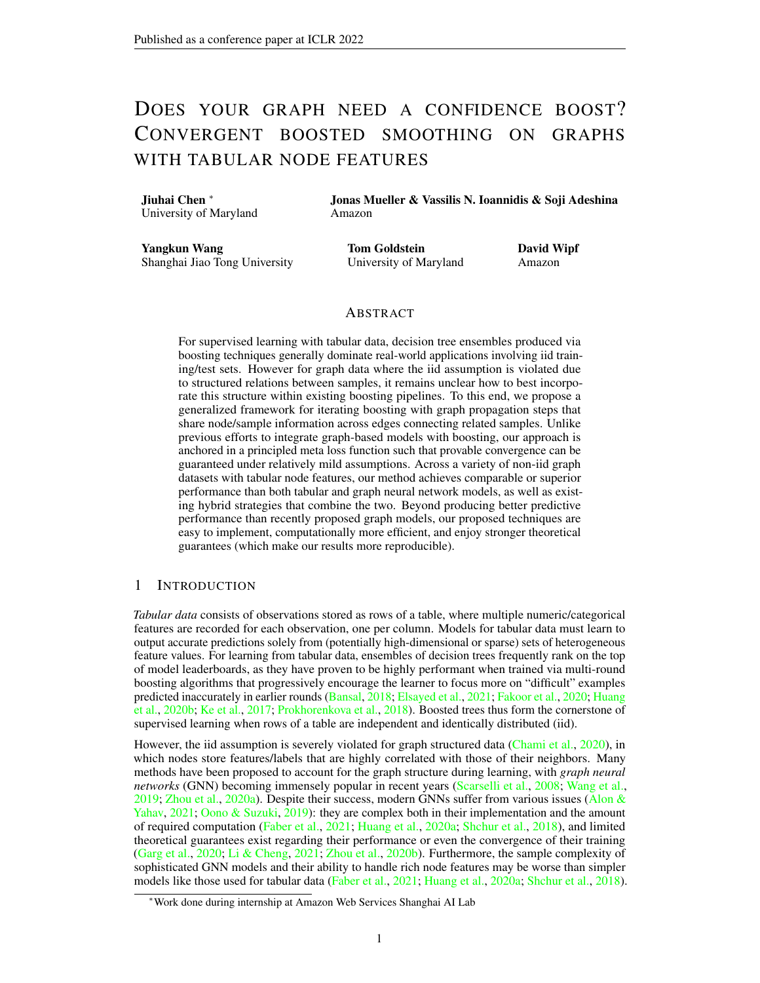$f(X; \theta)$  is separable across nodes, i.e. rows of X, such that (with some abuse of notation w.r.t. the domain of f) we have  $f(\mathbf{X}; \alpha^{(t)})_i$  f( $\mathbf{x}_i$ ;  $^{(t)}$ ). The next gradient boosting iteration proceeds by computing the function-space gradient  $R^{(t)}$  ,

$$
\frac{\partial \ell^{(k)}(\tau^{(t)})}{\partial f(\mathbf{X};\tau^{(t)})} = \frac{\partial \ell^{(k)}(\tau^{(t)})}{\partial \tilde{f}^{(k)}(\mathbf{X};\tau^{(t)})} \frac{\partial \tilde{f}^{(k)}(\mathbf{X};\tau^{(t)})}{\partial f(\mathbf{X};\tau^{(t)})} = \frac{\partial \ell^{(k)}(\tau^{(t)})}{\partial \tilde{f}^{(k)}(\mathbf{X};\tau^{(t)})} \frac{\partial \mathbf{P}^{(k)}\left[f\left(\mathbf{X};\tau^{(t)}\right)\right]_{1:m}}{\partial f\left(\mathbf{X};\tau^{(t)}\right)}.
$$
\n(8)

where  $P^{(k)}\left[f\left(\boldsymbol{X};\right.\left(\textit{t}\right)\right)\right]$ 1:*m* refers to the first *m* rows of  $P^{(k)}\left[f\left(X; \right. (t)\right]$ . For illustration purposes, consider the special case where  $D$  is the squared error and  $g$  is an identity operator, in which case  $(8)$  reduces to

<span id="page-4-0"></span>
$$
\boldsymbol{R}^{(t)} = 2 \sum_{i=1}^{m} \left( \tilde{f}^{(k)}(\boldsymbol{X}; {^{(t)}})_i \boldsymbol{y}_i \right) \frac{\partial \boldsymbol{P}^{(k)} \left[ f\left(\boldsymbol{X}; {^{(t)}}\right) \right]_i}{\partial f\left(\boldsymbol{X}; {^{(t)}}\right)}, \qquad (9)
$$

which as  $k \neq 1$ , will simplify to

$$
\boldsymbol{R}^{(t)} = 2 \sum_{i=1}^{m} \left( \tilde{f}^*(\boldsymbol{X}; {^{(t)}})_i \boldsymbol{y}_i \right) (\boldsymbol{p}_i^*)^\top. \qquad (10)
$$

This can be viewed as a graph-aware, smoothed version of the pseudo-residuals obtained from standard gradient boosting applied to the squared-error loss. Next, we fit the best weak learner to approximate these gradients by minimizing the quadratic loss

<span id="page-4-3"></span><span id="page-4-2"></span>
$$
h^{(t)} = \arg\min_{h \in \mathcal{H}} \sum_{i=1}^{n} \left\| \boldsymbol{r}_i^{(t)} \quad h(\boldsymbol{x}_i) \right\|_2^2 \tag{11}
$$

over all nodes  $n$ . Note that unlike in the canonical gradient boosting setting where function-space gradients are only needed over the training samples, *for EBBS we must fit the weak-learners to gradients from both the training and test nodes*. [1](#page-0-0) This is because graph propagation allows the base predictor from a test node to influence the smoothed prediction applied to the labeled training nodes. Finally, we update the base predictor model by adding a new weak learner  $h^{(t)}$  via

$$
f\left(\mathbf{x}_i; \quad (t+1)\right) = f\left(\mathbf{x}_i; \quad (t)\right) + \eta^{(t)}h^{(t)}(\mathbf{x}_i) \quad \beta_i = 1, \dots, n,
$$
\n(12)

where  $\eta^{(t)}$  is the learning rate chosen by line search and  $(t+1) = \begin{cases} (t), h^{(t)}, \eta^{(t)} \end{cases}$ . The iterative steps of EBBS are summarized in Algorithm [1.](#page-4-1)

Algorithm 1: Efficient Bilevel Boosted Smoothing (EBBS) **Input:** Feature matrix  $fXg$  and target  $fY_ig_{i=1;...;m}$ ; Initialize  $f(X; \space^{(0)}) = 0$ ; for  $t = 0, 1, ..., T$  do Propagate over the graph to compute  $\widetilde{f}^{(k)}(\boldsymbol{X}; \mathbf{x})$  via [\(6\)](#page-3-1); Compute the function-space gradient (pseudo-residual)  $R^{(t)}$  using [\(8\)](#page-4-0); Execute [\(11\)](#page-4-2) to find the best weak-learner  $h^{(t)}$ ; Update the new base model  $f(X; (t+1))$  via [\(12\)](#page-4-3); end **Output:**  $\widetilde{f}^{(k)}(\mathbf{X}; \mathbf{f}^{(T)})$ ;

<span id="page-4-1"></span><sup>&</sup>lt;sup>1</sup>This is also one of the key differences between EBBS and BGNN, in that the latter does not fit the gradients that originate from test nodes; see supplementary for details.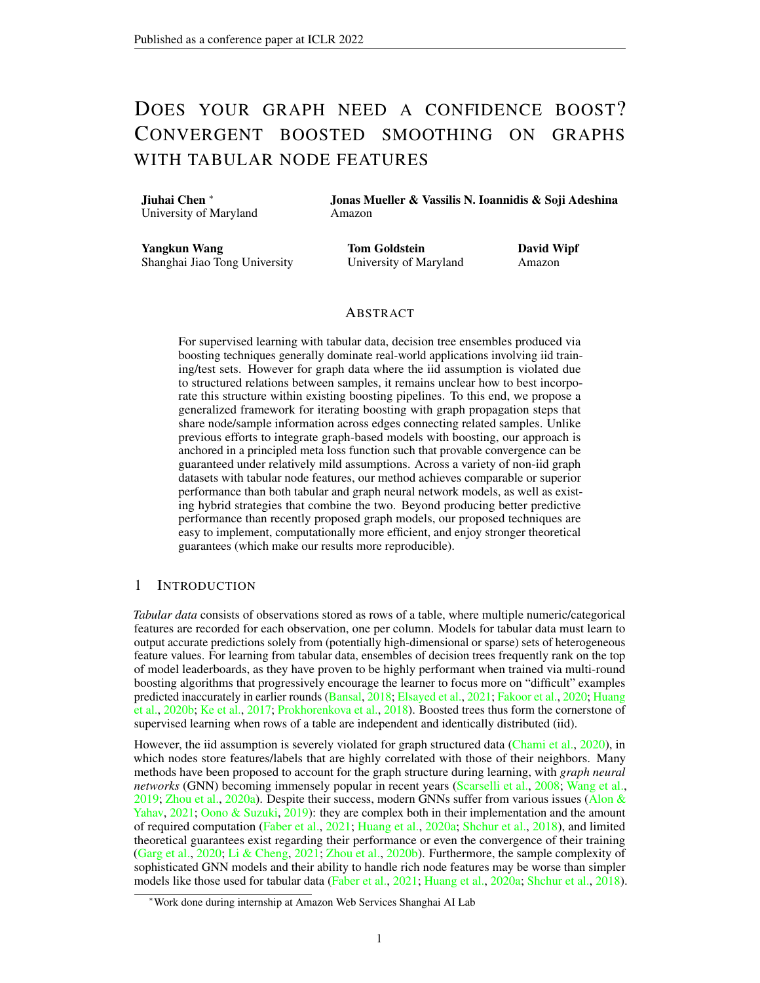#### <span id="page-5-1"></span>3.4 BROADER FORMS OF PROPAGATION

Kernelized EBBS. Kernel methods have powered traditional machine learning by modeling nonlinear relations among data points by (implicitly) mapping them to a high-dimensional space [\(Schölkopf](#page-10-11)  $&$  Smola, [2002\)](#page-10-11). Laplacian kernels constitute the graph counterpart of popular translation-invariant kernels in Euclidean space [\(Smola & Kondor,](#page-10-12) [2003\)](#page-10-12). The Laplacian kernel matrix is defined as  $K := r^{\dagger}(L)$ , where  $\dagger$  denotes the psedoinverse, and the choice of matrix-valued function  $r()$  determines which kernel is being used (and which properties of node features are being promoted [\(Ioannidis](#page-9-15) [et al.,](#page-9-15) [2018\)](#page-9-15)). With a chosen Laplacian kernel, the objective in [\(2\)](#page-2-1) can be rewritten more generally as

<span id="page-5-4"></span>
$$
\ell_Z(Z) , kZ \quad f(X; )\mathcal{K}_{\mathcal{F}}^2 + \lambda tr \left[ Z^\top K^\dagger Z \right]. \tag{13}
$$

This allows EBBS to utilize more flexible regularizers than  $(2)$ , such as the diffusion kernel [\(Smola &](#page-10-12) [Kondor,](#page-10-12) [2003\)](#page-10-12), where matrix inversion can be avoided by noticing that tr[ $Z^{\top} K^{\dagger} Z$ ] = tr[ $Z^{\top} r(L) Z$ ]. EBBS (Algorithm 1) can thus be applied with any positive semi-definite graph kernel and our subsequent convergence results (Theorem [1\)](#page-6-0) will still hold.

Adaptations for Heterophily Graphs. For heterophily graphs [\(Zhu et al.,](#page-11-7) [2020a;](#page-11-7)[b\)](#page-11-8), quadratic regularization may be overly sensitive to spurious edges, so we can adopt more general energy functions of the form

<span id="page-5-3"></span>
$$
\ell_Z(Z), \quad kZ \quad f(X; \quad)k_{\mathcal{F}}^2 + \lambda \sum_{\{i:j\} \in \mathcal{E}} \rho\left(kz_i - z_j k_2^2\right). \tag{14}
$$

as proposed in [Yang et al.](#page-11-3) [\(2021\)](#page-11-3). In this expression  $\rho : \mathbb{R}^+$  /  $\mathbb{R}$  is some potentially nonlinear function, typically chosen to be concave and non-decreasing so as to contribute robustness w.r.t edge uncertainty. The resulting operator  $P^{(k)}$  can then be derived using iterative reweighted least squares, which results in a principled form of graph attention.

Label-Aware Error Smoothing. [Huang et al.](#page-9-8) [\(2020a\)](#page-9-8) have shown that the prediction errors of a fixed MLP (or related model) can be smoothed via a regularized loss similar to [\(2\)](#page-2-1), and this produces competitive node classification accuracy. The key difference is to replace the base model  $f(X; )$ in [\(2\)](#page-2-1) with the error  $E$ ,  $M$  (Y  $f(X; )$ , where  $Y \supseteq R^{n \times c}$  is a matrix of labels and M is a mask with *i*-th row equal to ones if  $v_i \, 2 \, \text{/} L$  and zero otherwise. The optimal revised solution of [\(2\)](#page-2-1) then becomes  $P^*E$  analogous to [\(3\)](#page-3-2), with efficient approximation  $P^{(k)}[E]$  that spreads the original errors across graph edges. To update the final predictions, this smoothed error is added back to the original base model leading to the final smoothed estimator

<span id="page-5-2"></span>
$$
\widetilde{f}(\boldsymbol{X};\ ) = f(X;\ ) + \boldsymbol{P}^{(k)}[\boldsymbol{M} \quad (\boldsymbol{Y} \quad f(\boldsymbol{X};\ ))]. \tag{15}
$$

While [Huang et al.](#page-9-8) [\(2020a\)](#page-9-8) treat this estimator as a fixed postprocessing step, it can actually be plugged into a meta-loss for end-to-end EBBS optimization just as before (per the analysis in Section [3.2](#page-3-3) and the differentiability of  $(15)$  w.r.t. f). Although a potential limitation of this strategy is that the label dependency could increase the risk of overfitting, various counter-measures can be introduced to mitigate this effect [\(Wang et al.,](#page-10-13) [2021\)](#page-10-13). Moreover, this approach cannot be extended to inductive (or unsupervised) settings where no labels are available at test time.

#### <span id="page-5-0"></span>4 CONVERGENCE ANALYSIS OF EBBS

We next consider the convergence of Algorithm [1](#page-4-1) given that generally speaking, methods with guaranteed convergence tend to be more reliable, reproducible, and computationally efficient. Let  $\ell^*$  ( ) denote the loss from [\(7\)](#page-3-4) with  $P^{(k)}$  set to  $P^*$  such that  $\tilde{f}^{(k)}$  becomes  $\tilde{f}^*$  (i.e., as  $k \neq 1$  with  $\alpha$  sufficiently small). We further define the optimal boosting parameters applied to this loss as

\* 
$$
\arg\min_{\in\Theta} \ell^* \quad (16)
$$

where Θ denotes the space of possible parameterizations as determined by the associated family of weak learners H. In analyzing the convergence of EBBS, we seek to bound the gap between the value of the ideal loss  $\ell^*$  ( $\rightarrow$ ), and the approximation  $\ell^{(k)}$  ( $\rightarrow$ ) that is actually achievable for finite values of  $k$  and  $t$ . In doing so, we must account for the interplay between three factors: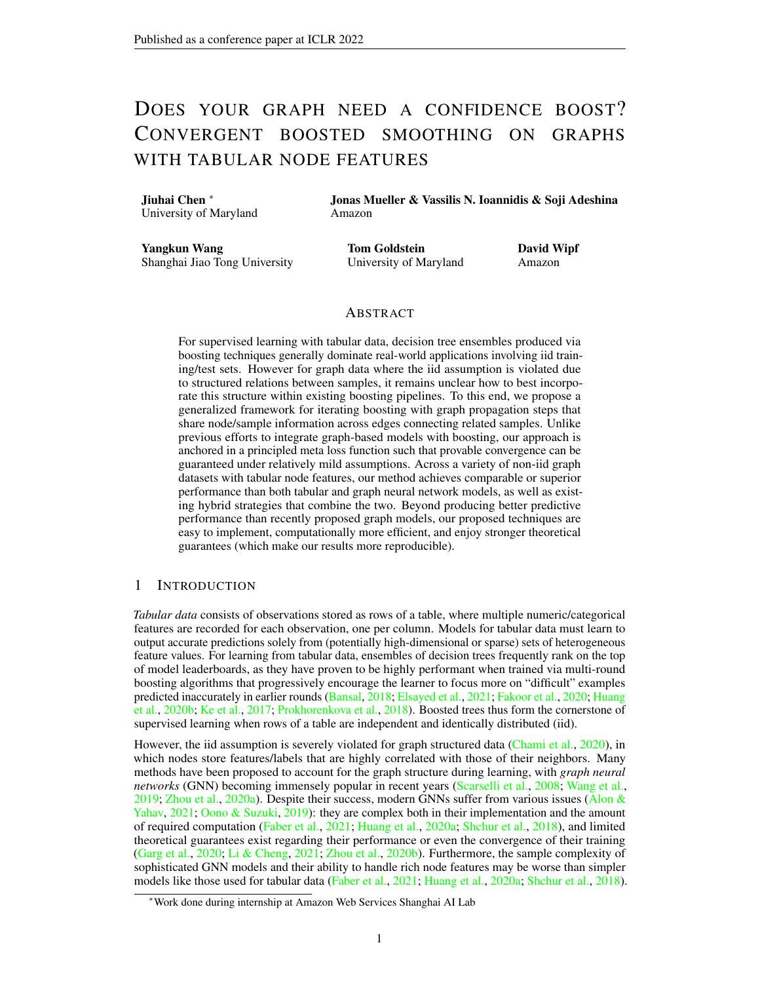- 1. The embedding-space gradients from the lower-level loss  $\ell_z(Z)$  that form  $P^{(k)}$ .
- 2. The higher-level function-space gradients  $R^{(t)}$  that are endemic to any GBDT-based method, but that in our situation uniquely depend on *both* training and test samples because of the graph propagation operator  $P^{(k)}$ .
- 3. The approximation error introduced by the limited capacity of each weak learner that is tasked with fitting the aforementioned function-space gradients.

We explicitly account for these factors via the following result, which establishes convergence guarantees w.r.t. both  $k$  and  $t$ . Note that to enhance the convergence rate w.r.t.  $t$ , we apply Nesterov's acceleration method [\(Nesterov,](#page-10-14) [2003\)](#page-10-14) to each boosting iteration as proposed in [Lu et al.](#page-10-15) [\(2020\)](#page-10-15).

<span id="page-6-0"></span>**Theorem 1.** Let  $D(u, v) = ku$   $vk_2^2$ ,  $g(u) = u$ , and  $\alpha = k\lambda L + lk_2^{-1}$  in the loss from [\(7\)](#page-3-4). Then *for all* k 0 *and* t 0*, there exists a constant* 2 (0, 1] *and* c > 0 *such that the iterations of Algorithm [1,](#page-4-1) augmented with the momentum factor from [Lu et al.](#page-10-15) [\(2020\)](#page-10-15) and associated momentum parameter*  $\phi = \frac{4}{4+2}$ *, satisfy* 

$$
\left| \ell^* \left( \begin{array}{c} * \\ \end{array} \right) \quad \ell^{(k)} \left( \begin{array}{c} (t) \\ \end{array} \right) \right| \qquad O\left( \frac{1}{t^2} + e^{-ck} \right). \tag{17}
$$

The proof, which builds upon ideas from [Lu & Mazumder](#page-10-16) [\(2020\)](#page-10-16), is deferred to the supplementary.

Remark 1. *The quantity represents what is referred to as the minimum cosine angle or MCA (as proposed in [Lu et al.](#page-10-15) [\(2020\)](#page-10-15) and modified in [Lu & Mazumder](#page-10-16) [\(2020\)](#page-10-16)), which relates to the minimum angle between any candidate residual and the best-fitting weak learner. For example, for strong learners the MCA will be near one, and we can execute near exact gradient descent in functional space. Please see supplementary for further details.*

Remark 2. *While Theorem [1](#page-6-0) is currently predicted on a quadratic meta-loss, this result can likely be extended to other convex (but not necessarily strongly convex) alternatives, albeit with possibly weaker convergence rates. In contrast, BGNN is predicated on a highly-nonconvex GNN-based loss, and similar convergence guarantees are unlikely to exist. This is especially true given that the function-space gradients used by BGNN are only computed on the training set, such that there is no assurance that each boosting step will not increase the final loss. More specifically, the perturbation of test point embeddings that feed into the subsequent GNN layers (as introduced with each BGNN boosting iteration) is not taken into account. Please see the supplementary for further details regarding the differences between BGNN and EBBS.*

Remark 3. *Theorem [1](#page-6-0) also holds when the meta-loss from [\(7\)](#page-3-4) is defined w.r.t. any positive semidefinite kernel from Section [3.4](#page-5-1) or the predictor from [\(15\)](#page-5-2) . In contrast, the situation is more nuanced when applying a nonconvex regularizer as in [\(14\)](#page-5-3) (see supplementary for further details).*

<span id="page-6-1"></span>**Corollary 1.** Let  $D(u, v) = ku \, v \, k_2^2$ ,  $g(u) = u$ ,  $\alpha = kL + \lambda I k_2^{-1}$  in the loss from [\(7\)](#page-3-4). Additionally, *a penalty factor* εkf(X; )k 2 <sup>F</sup> *is added to [\(7\)](#page-3-4). Then for all* k 0 *and* t 0*, there exists a constant*  $\beta$  2 [0, [1](#page-4-1)) and  $c > 0$  *such that the iterations of Algorithm 1 are such that* 

$$
\left| \ell^* \left( \begin{array}{c} * \\ \end{array} \right) \quad \ell^{(k)} \left( \begin{array}{c} (t) \\ \end{array} \right) \right| \qquad O\left( \beta^t + e^{-ck} \right). \tag{18}
$$

**Remark 4.** *The quantity*  $\beta$  *is related to the density of weak learners in the function space of predictors* f and the property of bilevel loss [\(7\)](#page-3-4). In particular,  $\beta = 1 - \frac{2}{7}$ , where *is the MCA as defined in [Lu & Mazumder](#page-10-16) [\(2020\)](#page-10-16),* σ *is a finite value related to the largest singular value of* P *, which can be found in supplementary.*

#### 5 EXPERIMENTS

This section describes the datasets, baseline models and experimental details, followed by comparative empirical results.

Setup. To study the empirical effectiveness of our methods, we apply them in numerous node regression and classification tasks and compare with various tabular and GNN models. Generally, which class of method fares best will depend on the particular properties of a graph dataset [\(Faber](#page-9-7) [et al.,](#page-9-7) [2021;](#page-9-7) [Huang et al.,](#page-9-8) [2020a\)](#page-9-8). Our benchmarks specifically focus on graph datasets with rich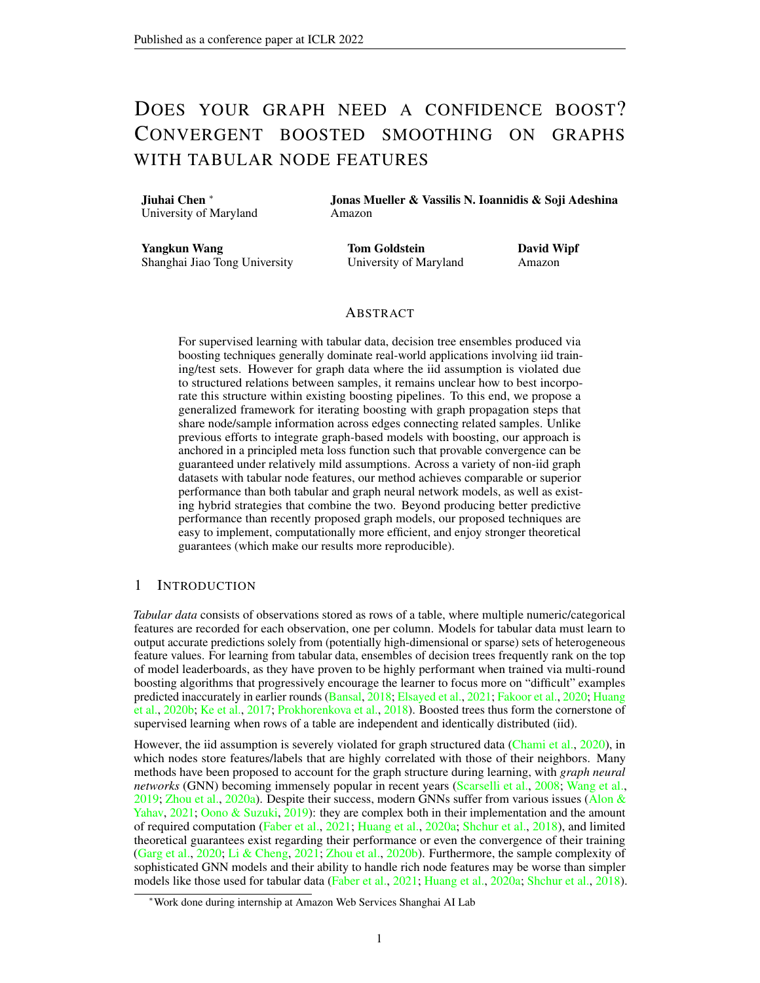<span id="page-7-1"></span>

|                    |       | Regression |       |        | Classification |             |               |      |
|--------------------|-------|------------|-------|--------|----------------|-------------|---------------|------|
| Method             | House | County     | VК    | Avazu  | <b>Slap</b>    | <b>DBLP</b> | $\mathbf{CS}$ | Phy  |
| GAT                | 0.54  | 1.45       | 7.22  | 0.1134 | 80.1           | 80.2        | 91.6          | 95.4 |
| <b>GCN</b>         | 0.63  | 1.48       | 7.25  | 0.1141 | 87.8           | 42.8        | 92.3          | 95.4 |
| <b>AGNN</b>        | 0.59  | 1.45       | 7.26  | 0.1134 | 89.2           | 79.4        | 92.7          | 96.9 |
| <b>APPNP</b>       | 0.69  | 1.50       | 13.23 | 0.1127 | 89.5           | 83.0        | 93.2          | 96.6 |
| <b>CatBoost</b>    | 0.63  | 1.39       | 7.16  | 0.1172 | 96.3           | 91.3        | 91.9          | 94.6 |
| CatBoost+          | 0.54  | 1.25       | 6.96  | 0.1083 | 96.2           | 90.7        | 94.6          | 96.4 |
| <b>BGNN</b>        | 0.50  | 1.26       | 6.95  | 0.1090 | 95.0           | 88.9        | 92.5          | 96.4 |
| <b>EBBS</b> (ours) | 0.45  | 1.11       | 6.90  | 0.1062 | 96.3           | 91.3        | 94.9          | 96.9 |

Table 1: Root mean squared error (RMSE) of different methods for node regression; accuracy (%) of different methods for node classification. Top results are boldfaced, all of which are statistically significant. Please see supplementary for standard errors and further details, as well as Figure [1](#page-7-0) below. Additionally, the BGNN model results are based on conducting a separate hyperparameter sweep for every data set and every random seed. In contrast, EBBS results are based on fixed parameters across random seeds and are mostly shared across datasets.

node features, which entail an important class of applications. For node regression, we consider four real-word graph datasets adopted from [Ivanov & Prokhorenkova](#page-9-11) [\(2021\)](#page-9-11): House, County, VK, and Avazu, with different types of data for node features. For node classification, we consider two more datasets from [Ivanov & Prokhorenkova](#page-9-11) [\(2021\)](#page-9-11): SLAP and DBLP, which stem from heterogeneous information networks (HIN). We also consider the Coauthor-CS and Coauthor-Phy datasets [\(Shchur](#page-10-4) [et al.,](#page-10-4) [2018\)](#page-10-4), which are from the KDD Cup 2016 challenge and based on the Microsoft Academic Graph. We chose these because they involve relatively large graphs with original sparse features, as opposed to low-dimensional projections (e.g. of originally text features) that are often better handled with just regular MLP-based GNNs or related. $^2$  $^2$  For contrast though, we also include OGB-ArXiv [\(Hu et al.,](#page-9-16) [2020\)](#page-9-16) with low-dimensional homogeneous node features favorable to GNNs.

We compare our proposed methods against various alternatives, starting with purely tabular baselines in which the graph structure is ignored and models are fit to node features as if they were iid. Here we consider **CatBoost**, a high-performance GBDT implementation with sophisticated strategies for handling categorical features and avoiding overfitting [\(Prokhorenkova et al.,](#page-10-0) [2018\)](#page-10-0). We also evaluate popular GNN models: GCN [\(Kipf & Welling,](#page-9-14) [2016\)](#page-9-14), GAT (Veličković et al., [2017\)](#page-10-17), AGNN [\(Thekumparampil et al.,](#page-10-18) [2018\)](#page-10-18) and APPNP [\(Klicpera et al.,](#page-9-12) [2018\)](#page-9-12). Finally, we compare against the hybrid approach, **BGNN** [\(Ivanov & Prokhorenkova,](#page-9-11)  $2021$ ), which combines GBDT and GNN via end-to-end training and represents the current SOTA for boosting-plus-tabular architectures for graph data. Our specific GBDT implementation of EBBS is based on top of CatBoost, where we interleave the boosting rounds of CatBoost with our proposed propagation steps that define the effective loss used for training. The supplementary contains comprehensive details about our datasets, models/hyperparameters, and overall experimental setup.



| OGB-ArXiv                                     |  |                                                                                      |  |  |  |  |  |
|-----------------------------------------------|--|--------------------------------------------------------------------------------------|--|--|--|--|--|
| Method    MLP   CatBoost   BGNN   EBBS   SOTA |  |                                                                                      |  |  |  |  |  |
| Accuracy   55.50   51.0                       |  | $\begin{array}{ c c c c c c c c } \hline 67.0 & 70.10 & 74.31 \\ \hline \end{array}$ |  |  |  |  |  |

<span id="page-7-2"></span>Table 2: Accuracy results on the OGB-ArXiv dataset. As mentioned in the text, the OGB-ArXiv node features are *not* generally favorable to boosted tree models. SOTA is taken from the [OGB leaderboard.](https://ogb.stanford.edu/docs/leader_nodeprop/)

<span id="page-7-0"></span>Figure 1: RMSE v.s. random seed for County dataset.

Results. In Table [1](#page-7-1) we present the results for the various node regression and node classification benchmarks. Here EBBS outperforms various baselines across datasets. The baseline GNN models are all clearly challenged by the tabular features in these datasets, with the exception of Coauthor-CS and Coauthor-Phy where GNNs perform reasonably well as expected.

<sup>&</sup>lt;sup>2</sup>Although tabular graph data for node classification is widely-available in industry, unfortunately there is currently little publicly-available, real-world data that can be used for benchmarking.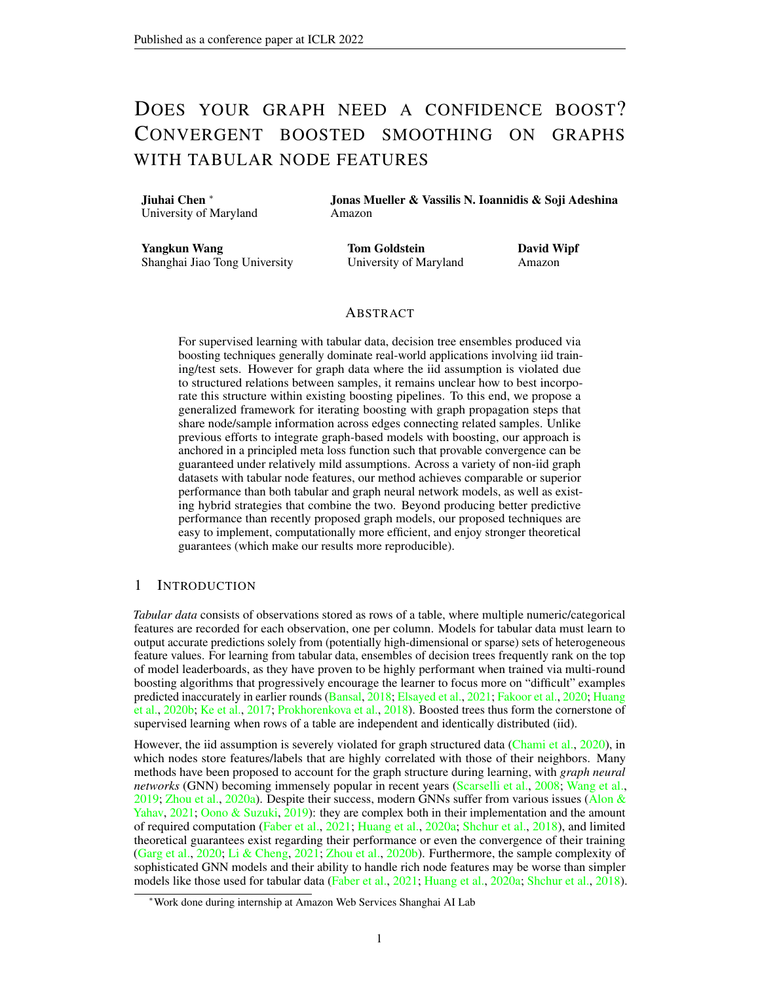<span id="page-8-0"></span>

Figure 2: Performance of BGNN vs. EBBS after each boosting iteration on the VK dataset. Each model uses the hyperparameter values that performed best on the County dataset.

Importantly, all bold-faced results reported in Table [1](#page-7-1) are significant once we properly account for the trial-to-trial variability induced by the random training splits shared across all methods; see supplementary for full presentation of standard errors and related analysis. Briefly here, for classification results, bold-faced results are statistically significant with respect to standard errors. In contrast, for node regression the standard errors for some datasets are a bit larger relative to the EBBS improvement gap, but this turns out to be a spurious artifact of the shared trial-to-trial variance. More specifically, EBBS actually outperforms all other methods across all trials on all regression benchmarks, such that a stable performance gap is maintained even while the absolute RMSE of methods may vary for different training splits. While full details are deferred to the supplementary, in Figure [1](#page-7-0) we plot the RMSE for five random splits of the County dataset, observing that EBBS outperforms the other baselines across every instance.

Additionally, as a natural ablation of our end-to-end bilevel boosting model, we consider fitting GBDT in the usual fashion (to just the node features without edge information) and subsequently applying EBBS-like graph propagation post hoc, only after all GBDT boosting rounds have already finished. We refer to this approach as **CatBoost**+, which can be viewed as EBBS without end-to-end training. Table [1](#page-7-1) and Figure [1](#page-7-0) show that our EBBS bilevel boosting, with propagation interleaved inside each boosting round, outperforms post-hoc application of the same propagation at the end of boosting. This is not true however for BGNN, which in aggregate performs similarly to CatBoost+.

Note also that for SLAP and DBLP, BGNN is worse than CatBoost, likely because the graph structure is not sufficiently helpful for these data, which also explains why most GNN baselines perform relatively poorly. Nonetheless, EBBS still achieves comparable results with CatBoost, revealing that it may be more robust to non-ideal use cases. Additionally, for Coauthor-CS and Coauthor-Phy, we observe that EBBS produces competitive results supporting the potential favorability of EBBS relative to GNN models when applied to certain graphs with high dimensional and sparse node features.

Proceeding further, given that the OGB-ArXiv node features are homogeneous, low-dimensional embeddings of an original text-based source, which are *not* generally well-suited for GBDT models, we would not expect BGNN or EBBS to match the SOTA achievable by GNNs. This conjecture is supported by the superiority of the MLP baseline over CatBoost in Table [2.](#page-7-2) Even so, we observe that EBBS is still more robust relative to BGNN in this setting. Finally, to showcase the relative stability of EBBS relative to BGNN, we store the model hyperparameters that performed best on the County dataset and then trained the respective models on VK data. The resulting training curves are shown in Figure [2,](#page-8-0) where BGNN exhibits some degree of relative instability. This suggests that in new application domains it may conceivably be easier to adapt EBBS models.

## 6 DISCUSSION

This paper considered various forms of graph propagation to facilitate the application of tabular modeling to node prediction tasks in graph-structured data. We developed a simple yet highly accurate model by interleaving propagation steps with boosting rounds in GBDT. And unlike BGNN, which relies on separate boosting and GNN training steps with no unified loss, our method fully integrates graph propagation within the actual definition of a single bi-level boosting objective. This allows us to establish converge guarantees and avoids the complexity of separate trainable GBDT and GNN modules. Note also that our EBBS algorithm is not specific to GBDT, but can also be used to boost arbitrary weak learners including neural networks [\(Cortes et al.,](#page-9-17) [2017\)](#page-9-17) or heterogeneous collections [\(Parnell et al.,](#page-10-19) [2020\)](#page-10-19).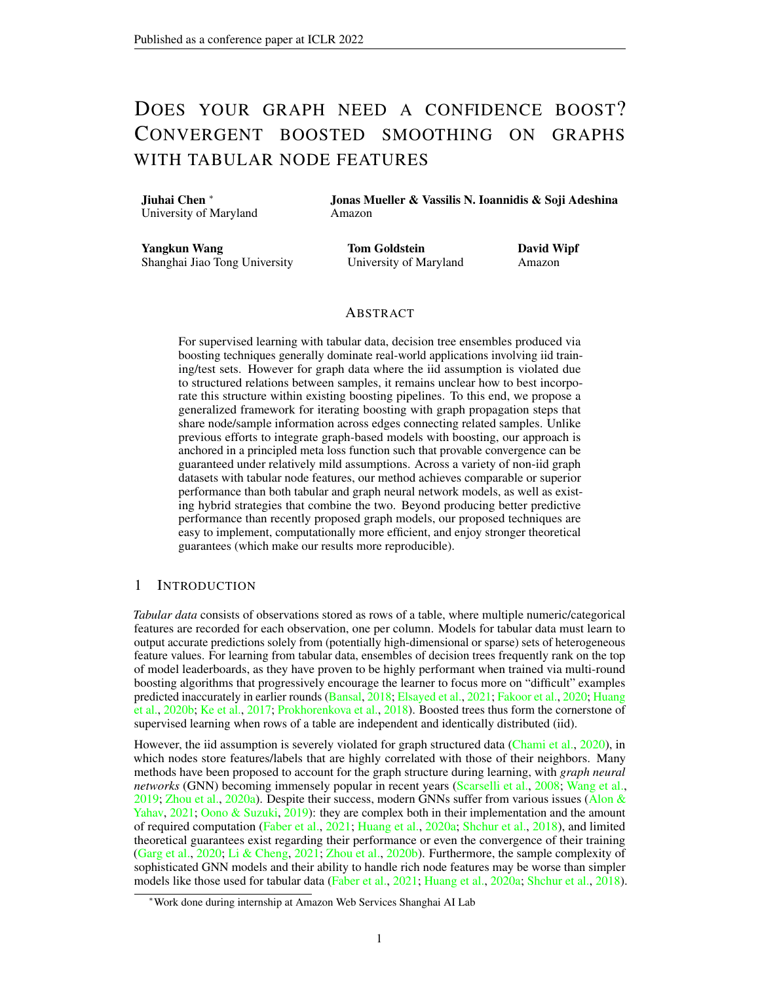#### **REFERENCES**

- <span id="page-9-6"></span>Uri Alon and Eran Yahav. On the bottleneck of graph neural networks and its practical implications. In *International Conference on Learning Representations*, 2021.
- <span id="page-9-13"></span>Owe Axelsson. *Iterative Solution Methods*. Cambridge University Press, 1996.
- <span id="page-9-0"></span>Shivam Bansal. Data science trends on kaggle. [https://www.kaggle.com/shivamb/](https://www.kaggle.com/shivamb/data-science-trends-on-kaggle#5.-XgBoost-vs-Keras) [data-science-trends-on-kaggle#5.-XgBoost-vs-Keras](https://www.kaggle.com/shivamb/data-science-trends-on-kaggle#5.-XgBoost-vs-Keras), 2018.
- <span id="page-9-5"></span>Ines Chami, Sami Abu-El-Haija, Bryan Perozzi, Christopher Ré, and Kevin Murphy. Machine learning on graphs: A model and comprehensive taxonomy. *arXiv preprint arXiv:2005.03675*, 2020.
- <span id="page-9-17"></span>Corinna Cortes, Xavier Gonzalvo, Vitaly Kuznetsov, Mehryar Mohri, and Scott Yang. Adanet: adaptive structural learning of artificial neural networks. In *Proceedings of the 34th International Conference on Machine Learning-Volume 70*, pp. 874–883, 2017.
- <span id="page-9-1"></span>Shereen Elsayed, Daniela Thyssens, Ahmed Rashed, Lars Schmidt-Thieme, and Hadi Samer Jomaa. Do we really need deep learning models for time series forecasting? *arXiv preprint arXiv:2101.02118*, 2021.
- <span id="page-9-7"></span>Lukas Faber, Yifan Lu, and Roger Wattenhofer. Should graph neural networks use features, edges, or both? *arXiv preprint arXiv:2103.06857*, 2021.
- <span id="page-9-2"></span>Rasool Fakoor, Jonas W Mueller, Nick Erickson, Pratik Chaudhari, and Alexander J Smola. Fast, accurate, and simple models for tabular data via augmented distillation. *Advances in Neural Information Processing Systems*, 33, 2020.
- <span id="page-9-10"></span>Jerome H Friedman. Greedy function approximation: a gradient boosting machine. *Annals of statistics*, pp. 1189–1232, 2001.
- <span id="page-9-9"></span>Vikas Garg, Stefanie Jegelka, and Tommi Jaakkola. Generalization and representational limits of graph neural networks. In *International Conference on Machine Learning*, pp. 3419–3430. PMLR, 2020.
- <span id="page-9-16"></span>Weihua Hu, Matthias Fey, Marinka Zitnik, Yuxiao Dong, Hongyu Ren, Bowen Liu, Michele Catasta, and Jure Leskovec. Open graph benchmark: Datasets for machine learning on graphs. *arXiv preprint arXiv:2005.00687*, 2020.
- <span id="page-9-8"></span>Qian Huang, Horace He, Abhay Singh, Ser-Nam Lim, and Austin R Benson. Combining label propagation and simple models out-performs graph neural networks. *arXiv preprint arXiv:2010.13993*, 2020a.
- <span id="page-9-3"></span>Xin Huang, Ashish Khetan, Milan Cvitkovic, and Zohar Karnin. Tabtransformer: Tabular data modeling using contextual embeddings. *arXiv preprint arXiv:2012.06678*, 2020b.
- <span id="page-9-15"></span>V. N. Ioannidis, M. Ma, A. Nikolakopoulos, G. B. Giannakis, and D. Romero. Kernel-based inference of functions on graphs. In D. Comminiello and J. Principe (eds.), *Adaptive Learning Methods for Nonlinear System Modeling*. Elsevier, 2018.
- <span id="page-9-11"></span>Sergei Ivanov and Liudmila Prokhorenkova. Boost then convolve: Gradient boosting meets graph neural networks. *arXiv preprint arXiv:2101.08543*, 2021.
- <span id="page-9-4"></span>Guolin Ke, Qi Meng, Thomas Finley, Taifeng Wang, Wei Chen, Weidong Ma, Qiwei Ye, and Tie-Yan Liu. LightGBM: A highly efficient gradient boosting decision tree. In *Advances in Neural Information Processing Systems*, 2017.
- <span id="page-9-14"></span>Thomas N Kipf and Max Welling. Semi-supervised classification with graph convolutional networks. *arXiv preprint arXiv:1609.02907*, 2016.
- <span id="page-9-12"></span>Johannes Klicpera, Aleksandar Bojchevski, and Stephan Günnemann. Predict then propagate: Graph neural networks meet personalized pagerank. *arXiv preprint arXiv:1810.05997*, 2018.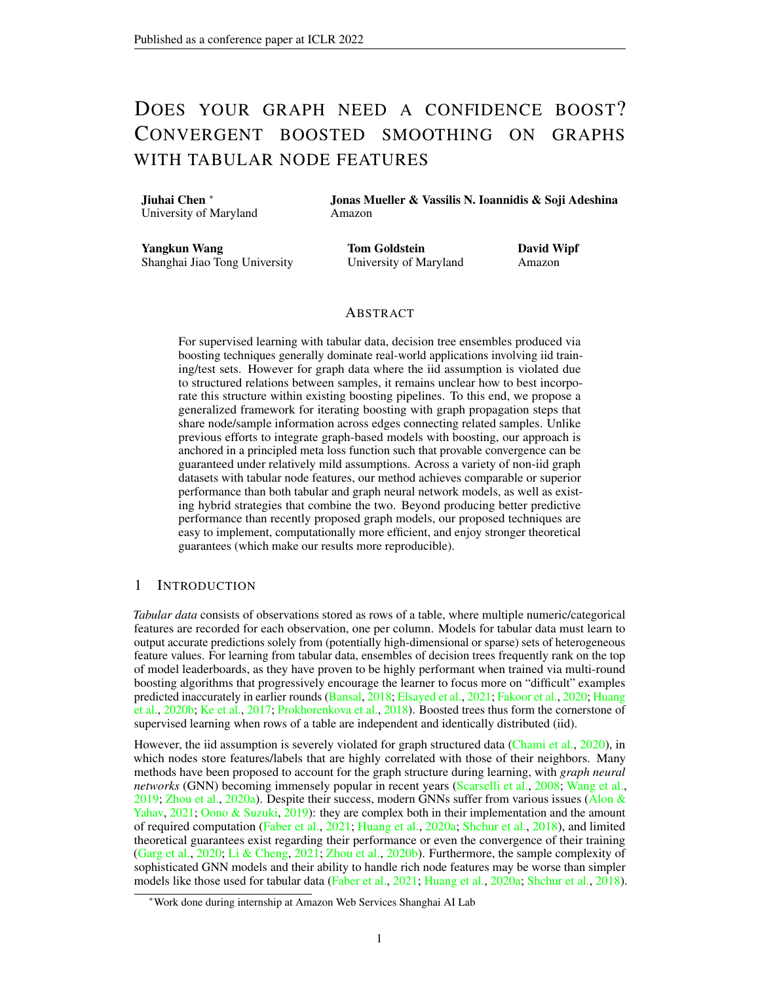- <span id="page-10-6"></span>Ping Li, Qiang Wu, and Christopher Burges. Mcrank: Learning to rank using multiple classification and gradient boosting. *Advances in neural information processing systems*, 20:897–904, 2007.
- <span id="page-10-5"></span>Xue Li and Yuanzhi Cheng. Understanding the message passing in graph neural networks via power iteration clustering. *Neural Networks*, 140:130–135, 2021.
- <span id="page-10-16"></span>Haihao Lu and Rahul Mazumder. Randomized gradient boosting machine. *SIAM Journal on Optimization*, 30(4):2780–2808, 2020.
- <span id="page-10-15"></span>Haihao Lu, Sai Praneeth Karimireddy, Natalia Ponomareva, and Vahab Mirrokni. Accelerating gradient boosting machines. In *International Conference on Artificial Intelligence and Statistics*, pp. 516–526. PMLR, 2020.
- <span id="page-10-9"></span>Yao Ma, Xiaorui Liu, Tong Zhao, Yozen Liu, Jiliang Tang, and Neil Shah. A unified view on graph neural networks as graph signal denoising. *arXiv preprint arXiv:2010.01777*, 2020.
- <span id="page-10-14"></span>Yurii Nesterov. *Introductory lectures on convex optimization: A basic course*, volume 87. Springer Science & Business Media, 2003.
- <span id="page-10-3"></span>Kenta Oono and Taiji Suzuki. Graph neural networks exponentially lose expressive power for node classification. *arXiv preprint arXiv:1905.10947*, 2019.
- <span id="page-10-10"></span>Xuran Pan, Shiji Song, and Gao Huang. A unified framework for convolution-based graph neural networks, 2021. URL <https://openreview.net/forum?id=zUMD--Fb9Bt>.
- <span id="page-10-19"></span>Thomas Parnell, Andreea Anghel, Małgorzata Łazuka, Nikolas Ioannou, Sebastian Kurella, Peshal Agarwal, Nikolaos Papandreou, and Haralampos Pozidis. Snapboost: A heterogeneous boosting machine. *Advances in Neural Information Processing Systems*, 33, 2020.
- <span id="page-10-0"></span>Liudmila Prokhorenkova, Gleb Gusev, Aleksandr Vorobev, Anna Veronika Dorogush, and Andrey Gulin. CatBoost: unbiased boosting with categorical features. In *Advances in Neural Information Processing Systems*, 2018.
- <span id="page-10-1"></span>Franco Scarselli, Marco Gori, Ah Chung Tsoi, Markus Hagenbuchner, and Gabriele Monfardini. The graph neural network model. *IEEE transactions on neural networks*, 20(1):61–80, 2008.
- <span id="page-10-11"></span>B. Schölkopf and A. J. Smola. *Learning with Kernels: Support Vector Machines, Regularization, Optimization, and Beyond*. MIT Press, 2002.
- <span id="page-10-4"></span>Oleksandr Shchur, Maximilian Mumme, Aleksandar Bojchevski, and Stephan Günnemann. Pitfalls of graph neural network evaluation. *arXiv preprint arXiv:1811.05868*, 2018.
- <span id="page-10-12"></span>A. J. Smola and R. I. Kondor. Kernels and regularization on graphs. In *Learning Theory and Kernel Machines*, pp. 144–158. Springer, 2003.
- <span id="page-10-8"></span>Ke Sun, Zhanxing Zhu, and Zhouchen Lin. Adagcn: Adaboosting graph convolutional networks into deep models. *arXiv preprint arXiv:1908.05081*, 2019.
- <span id="page-10-18"></span>Kiran K Thekumparampil, Chong Wang, Sewoong Oh, and Li-Jia Li. Attention-based graph neural network for semi-supervised learning. *arXiv preprint arXiv:1803.03735*, 2018.
- <span id="page-10-17"></span>Petar Veličković, Guillem Cucurull, Arantxa Casanova, Adriana Romero, Pietro Lio, and Yoshua Bengio. Graph attention networks. *arXiv preprint arXiv:1710.10903*, 2017.
- <span id="page-10-7"></span>Jasper Velthoen, Clément Dombry, Juan-Juan Cai, and Sebastian Engelke. Gradient boosting for extreme quantile regression. *arXiv preprint arXiv:2103.00808*, 2021.
- <span id="page-10-2"></span>Minjie Wang, Da Zheng, Zihao Ye, Quan Gan, Mufei Li, Xiang Song, Jinjing Zhou, Chao Ma, Lingfan Yu, Yu Gai, et al. Deep graph library: A graph-centric, highly-performant package for graph neural networks. *arXiv preprint arXiv:1909.01315*, 2019.
- <span id="page-10-13"></span>Yangkun Wang, Jiarui Jin, Weinan Zhang, Yong Yu, Zheng Zhang, and David Wipf. Bag of tricks for node classification with graph neural networks. *arXiv preprint arXiv:2103.13355*, 2021.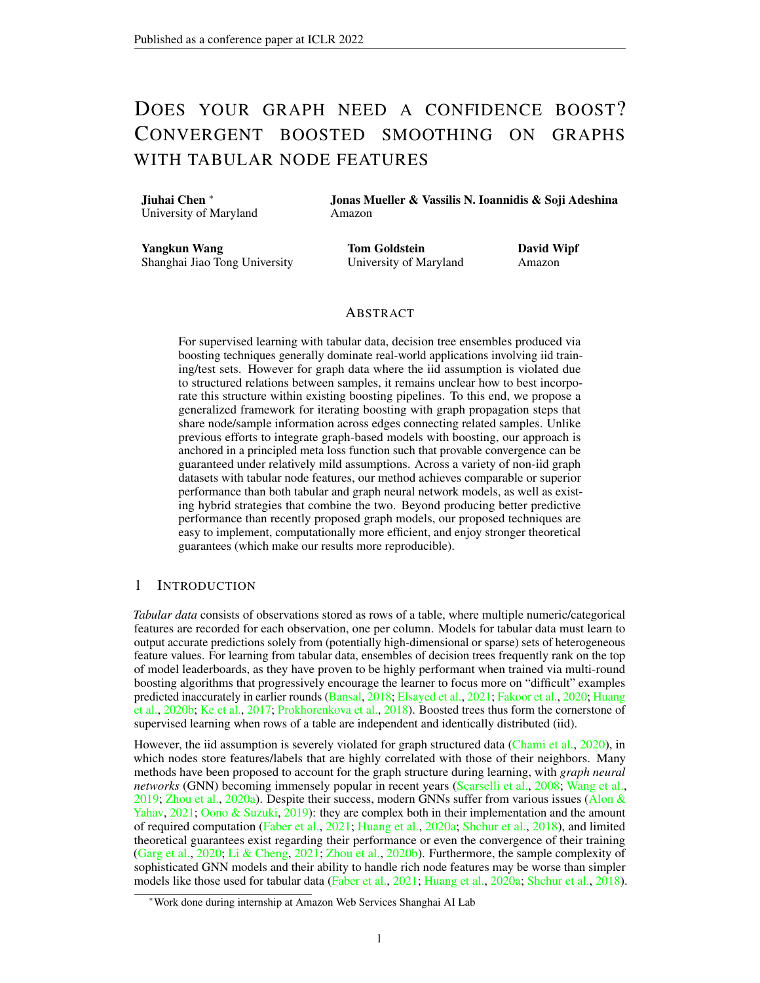- <span id="page-11-2"></span>Zeyi Wen, Jiashuai Shi, Bingsheng He, Jian Chen, Kotagiri Ramamohanarao, and Qinbin Li. Exploiting gpus for efficient gradient boosting decision tree training. *IEEE Transactions on Parallel and Distributed Systems*, 30(12):2706–2717, 2019.
- <span id="page-11-3"></span>Yongyi Yang, Tang Liu, Yangkun Wang, Jinjing Zhou, Quan Gan, Zhewei Wei, Zheng Zhang, Zengfeng Huang, and David Wipf. Graph neural networks inspired by classical iterative algorithms. *arXiv preprint arXiv:2103.06064*, 2021.
- <span id="page-11-4"></span>Hongwei Zhang, Tijin Yan, Zenjun Xie, Yuanqing Xia, and Yuan Zhang. Revisiting graph convolutional network on semi-supervised node classification from an optimization perspective. *arXiv preprint arXiv:2009.11469*, 2020.
- <span id="page-11-6"></span>Dengyong Zhou, Olivier Bousquet, Thomas Navin Lal, Jason Weston, and Bernhard Schölkopf. Learning with local and global consistency. *Advances in Neural Information Processing Systems*, 2004.
- <span id="page-11-0"></span>Jie Zhou, Ganqu Cui, Shengding Hu, Zhengyan Zhang, Cheng Yang, Zhiyuan Liu, Lifeng Wang, Changcheng Li, and Maosong Sun. Graph neural networks: A review of methods and applications. *AI Open*, 1:57–81, 2020a.
- <span id="page-11-1"></span>Kuangqi Zhou, Yanfei Dong, Kaixin Wang, Wee Sun Lee, Bryan Hooi, Huan Xu, and Jiashi Feng. Understanding and resolving performance degradation in graph convolutional networks. *arXiv preprint arXiv:2006.07107*, 2020b.
- <span id="page-11-7"></span>Jiong Zhu, Ryan A Rossi, Anup Rao, Tung Mai, Nedim Lipka, Nesreen K Ahmed, and Danai Koutra. Graph neural networks with heterophily. *arXiv preprint arXiv:2009.13566*, 2020a.
- <span id="page-11-8"></span>Jiong Zhu, Yujun Yan, Lingxiao Zhao, Mark Heimann, Leman Akoglu, and Danai Koutra. Beyond homophily in graph neural networks: Current limitations and effective designs. In *Advances in Neural Information Processing Systems, NeurIPS*, 2020b.
- <span id="page-11-5"></span>Meiqi Zhu, Xiao Wang, Chuan Shi, Houye Ji, and Peng Cui. Interpreting and unifying graph neural networks with an optimization framework. *arXiv preprint arXiv:2101.11859*, 2021.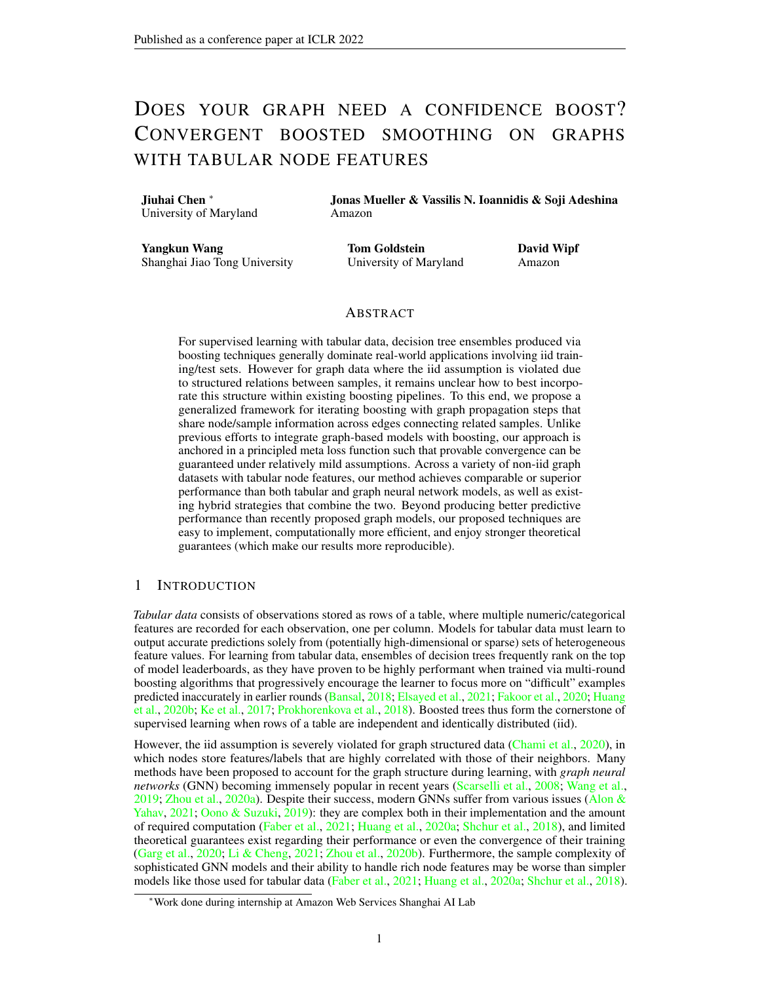# Supplementary Materials

## A ASSESSING STATISTICAL SIGNIFICANCE OF RESULTS

Table [S1](#page-12-1) shows the mean squared error of different methods for node regression with error bars. While the gains of EBBS may appears insignificant relative to the error bars, this is not actually the case upon closer inspection. Because we used shared training and testing splits for different methods, we can compare how much of this variance is merely caused by different splits while the relative performance is preserved. We would like to point out that the error bars shown in Table [S1](#page-12-1) merely reflect shared trial-to-trial variability that does not significantly influence relative performance. To this end, below we present the results of each trial for all datasets. For each random seed, we use the fixed training and testing split and show the performance for different methods. From Table [S2,](#page-13-0) we observe that EBBS outperforms BGNN across every instance. Regarding the classification task shown in Table [S3,](#page-13-1) EBBS outperforms BGNN by a significant amount even if we take into account the reported error bars.

<span id="page-12-1"></span>

| Regression         |       |      |        |      |       |      |        |      |
|--------------------|-------|------|--------|------|-------|------|--------|------|
| Method             | House |      | County |      | VK    |      | Avazu  |      |
| <b>GAT</b>         | 0.54  | 0.01 | 1.45   | 0.06 | 7.22  | 0.29 | 0.1134 | 0.01 |
| <b>GCN</b>         | 0.63  | 0.01 | 1.48   | 0.08 | 7.25  | 0.19 | 0.1141 | 0.02 |
| <b>AGNN</b>        | 0.59  | 0.01 | 1.45   | 0.08 | 7.26  | 0.20 | 0.1134 | 0.02 |
| <b>APPNP</b>       | 0.69  | 0.01 | 1.50   | 0.11 | 13.23 | 0.12 | 0.1127 | 0.01 |
| <b>CatBoost</b>    | 0.63  | 0.01 | 1.39   | 0.07 | 7.16  | 0.20 | 0.1172 | 0.02 |
| CatBoost+          | 0.54  | 0.01 | 1.25   | 0.11 | 6.96  | 0.21 | 0.1083 | 0.02 |
| <b>BGNN</b>        | 0.50  | 0.01 | .26    | 0.08 | 6.95  | 0.21 | 0.1090 | 0.01 |
| <b>EBBS</b> (ours) | 0.45  | 0.01 | 1.11   | 0.09 | 6.90  | 0.23 | 0.1062 | 0.01 |

Table S1: Mean squared error of different methods for node regression. Top results are boldfaced.

## <span id="page-12-0"></span>B ANALYSIS OF THE DIFFERENCES BETWEEN EBBS AND BGNN

Although EBBS is clearly quite related to BGNN as discussed in the main text, there remain significant differences as follows:

Integrated Loss: EBBS integrates both the boosting module and graph propagation within a single unified bi-level objective function, which allows for meaningful convergence guarantees. In contrast, the BGNN boosting rounds are not actually minimizing a unified objective function (due to changing GNN parameters each round), which restricts the possibility of convergence guarantees. In BGNN, the GNN is treated as a trainable module stacked on top of GBDT, and both the GNN and GBDT are updated with their respective losses by iterating back-and-forth during training. In contrast, the EBBS setup is different, with only a single unchanging GBDT-based objective involved at a high level. In fact, we can view even the EBBS graph propagation step as being fully integrated within the actual definition of a single static GBDT training objective. To illustrate this more explicitly, the EBBS objective from

<span id="page-12-2"></span>
$$
\ell^{(k)}\left(\begin{array}{c}\right), \quad \sum_{i=1}^{m} D\bigg(g\left[\widetilde{f}^{(k)}\left(\mathbf{X}; \quad\right)_i\right], \mathbf{y}_i\bigg),\end{array} \tag{19}
$$

is equivalent to plugging a parameterized GBDT predictive model into the fixed training loss. There is no need to iterate back-and-forth between adding weak learners to  $f(X_i)$  and separate GNN parameter updates because all trainable parameters are inside of the function  $f(\mathbf{X};)$ , and standard gradient boosting can be used with the above loss. Of course as we know, standard gradient boosting iterations involve fitting function space gradients using a quadratic loss, which is exactly [\(11\)](#page-4-2) in our paper. And while of course [\(11\)](#page-4-2) keeps changing as the gradients change, the objective [\(19\)](#page-12-2) upon which these gradients are based does not. If we reinterpret BGNN from a similar perspective, then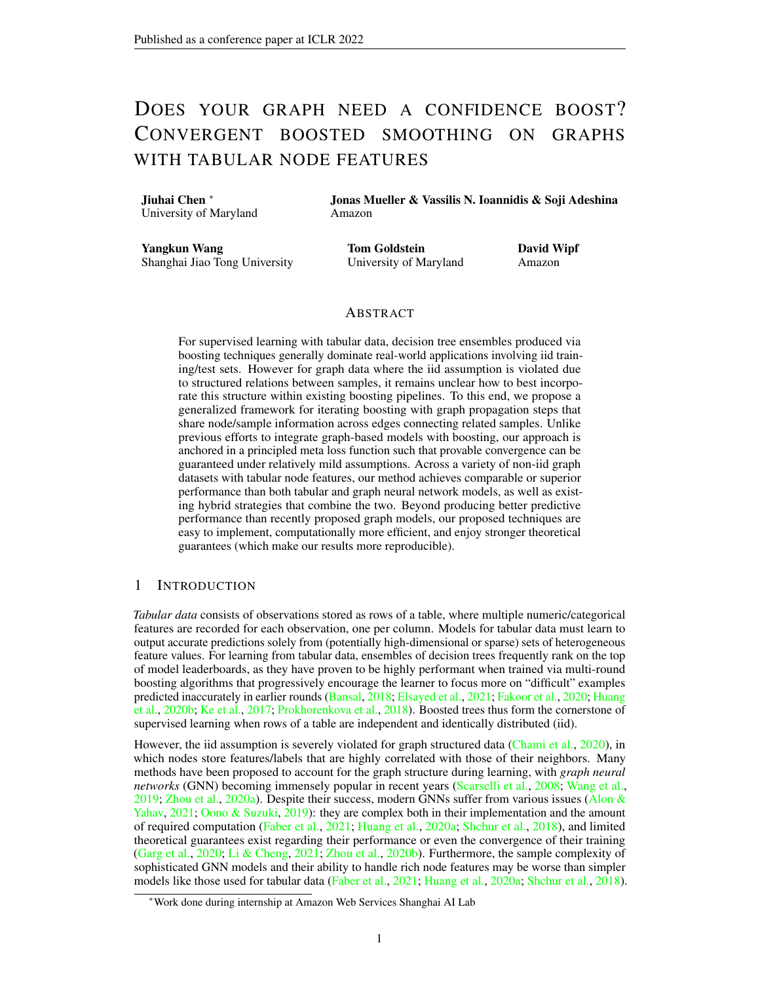<span id="page-13-0"></span>

| Regression |                  |              |        |        |        |        |  |  |
|------------|------------------|--------------|--------|--------|--------|--------|--|--|
| Dataset    | Method           | Seed 1<br>II | Seed 2 | Seed 3 | Seed 4 | Seed 5 |  |  |
| House      | <b>CatBoost</b>  | 0.62         | 0.63   | 0.62   | 0.63   | 0.64   |  |  |
|            | CatBoost+        | 0.53         | 0.55   | 0.53   | 0.54   | 0.56   |  |  |
|            | <b>BGNN</b>      | 0.49         | 0.51   | 0.49   | 0.52   | 0.50   |  |  |
|            | <b>EBBS</b>      | 0.44         | 0.46   | 0.44   | 0.46   | 0.46   |  |  |
| County     | <b>CatBoost</b>  | 1.38         | 1.53   | 1.30   | 1.39   | 1.36   |  |  |
|            | <b>CatBoost+</b> | 1.26         | 1.45   | 1.16   | 1.21   | 1.14   |  |  |
|            | <b>BGNN</b>      | 1.28         | 1.43   | 1.26   | 1.17   | 1.19   |  |  |
|            | <b>EBBS</b>      | 1.11         | 1.28   | 1.09   | 1.05   | 1.03   |  |  |
| VK         | <b>CatBoost</b>  | 7.13         | 7.29   | 7.48   | 7.20   | 6.84   |  |  |
|            | CatBoost+        | 6.88         | 7.07   | 7.24   | 7.01   | 6.60   |  |  |
|            | <b>BGNN</b>      | 6.90         | 7.05   | 7.26   | 6.98   | 6.60   |  |  |
|            | <b>EBBS</b>      | 6.82         | 7.01   | 7.21   | 6.92   | 6.54   |  |  |
| Avazu      | <b>CatBoost</b>  | 0.1046       | 0.1057 | 0.1133 | 0.1515 | 0.1111 |  |  |
|            | CatBoost+        | 0.0970       | 0.0992 | 0.1057 | 0.1400 | 0.0998 |  |  |
|            | <b>BGNN</b>      | 0.0979       | 0.0992 | 0.1082 | 0.1332 | 0.0999 |  |  |
|            | <b>EBBS</b>      | 0.0967       | 0.0990 | 0.1045 | 0.1331 | 0.0979 |  |  |

<span id="page-13-1"></span>Table S2: Mean squared error of different methods for different random seeds, which presents different training and testing splits. Top results are boldfaced.

| Classification                                          |                                                          |                                                          |                                                             |                                                          |  |  |  |
|---------------------------------------------------------|----------------------------------------------------------|----------------------------------------------------------|-------------------------------------------------------------|----------------------------------------------------------|--|--|--|
| Method                                                  | Slap                                                     | <b>DBLP</b>                                              | <b>Coauthor-CS</b>                                          | <b>Coauthor-Phy</b>                                      |  |  |  |
| <b>GAT</b><br><b>GCN</b><br><b>AGNN</b><br><b>APPNP</b> | 80.1<br>1.0<br>87.8<br>1.0<br>89.2<br>1.0<br>89.5<br>1.0 | 80.2<br>1.0<br>42.8<br>4.0<br>79.4<br>1.0<br>83.0<br>2.0 | 91.55<br>0.5<br>92.32<br>0.4<br>92.65<br>0.4<br>93.2<br>0.1 | 95.4<br>0.1<br>95.4<br>0.1<br>96.9<br>0.1<br>0.2<br>96.6 |  |  |  |
| <b>CatBoost</b><br>CatBoost+                            | 96.3<br>0.0<br>0.3<br>96.2                               | 1.0<br>91.3<br>90.7<br>1.1                               | 91.9<br>0.2<br>94.6<br>0.1                                  | 0.2<br>94.6<br>96.4<br>0.1                               |  |  |  |
| <b>BGNN</b><br><b>EBBS</b> (ours)                       | 95.0<br>0.0<br>0.4<br>96.3                               | 88.9<br>1.0<br>91.3<br>0.6                               | 0.2<br>92.5<br>94.9<br>0.2                                  | 96.4<br>0.0<br>96.9<br>0.2                               |  |  |  |

Table S3: Accuracy (%) of different methods for node classification. Top results are boldfaced.

each time the GNN parameters are updated, the implicit loss as seen by the BGNN boosting step, analogous to  $(19)$  above, would change.

Incorporating Test Nodes During Training: a second key difference is the fact that in BGNN, input features of nodes in the test set are only used to predict test node labels for passage to the GNN; they are not used to approximate gradients/residuals evaluated at testing nodes during the selection of GBDT weak learners. In contrast, the GBDT objective function in EBBS itself explicitly depends on test node input features because these features propagate over the graph to influence training node predictions as defined via [\(19\)](#page-12-2). When training our EBBS model, gradient information from test nodes (or at least those receiving significant signal) must be passed back to the boosting module. Or stated differently, unlike standard boosting as applied to iid training samples, we must predict function-space gradients/residuals across all nodes when adding each new weak learner. This is because the input to the propagation operator  $P^{(k)}($  ) includes features from all nodes (both training and testing), and why  $(11)$  involves a summation over all n testing nodes, not just the m training nodes.

Impact of Multiple SGD Steps: During each round of BGNN training, multiple SGD steps are applied to both update GNN parameters and GNN inputs (whereas there is no similar operation in EBBS). These multiple inner iterations, while needed for GNN training and the presented empirical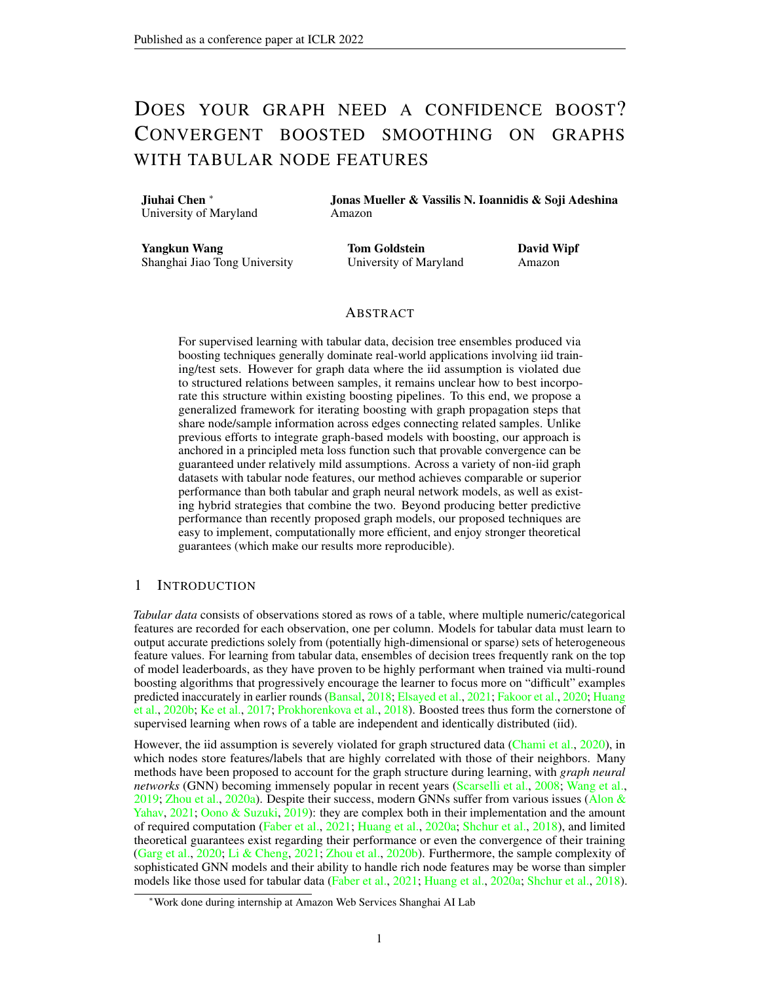<span id="page-14-0"></span>

| Regression                         |                  |       |        |      |      |      |                                             |      |
|------------------------------------|------------------|-------|--------|------|------|------|---------------------------------------------|------|
| Method                             |                  | House | County |      |      | VК   | Avazu                                       |      |
| <b>BGNN</b>                        | $\parallel 0.50$ |       |        |      |      |      | $0.01$   1.26 $0.08$   6.95 $0.21$   0.1090 | 0.01 |
| <b>BGNN</b> (1 SGD step per iter.) | $\parallel$ 0.56 | 0.01  | 1.34   | 0.09 | 7.28 | 0.23 | 0.110                                       | 0.02 |
| <b>BGNN</b> (no end-to-end train)  | 0.51             | 0.01  | 1.33   | 0.08 | 7.07 | 0.20 | $\mid$ 0.1095                               | 0.01 |

Table S4: Ablation study for BGNN with one step of gradient step per iteration.

<span id="page-14-1"></span>

Figure S1: Performance of BGNN vs. EBBS after each boosting iteration on the VK dataset. The left BGNN uses the hyperparameter values that performed best on the County dataset. The right BGNN uses the hyperparameter values that performed best on the VK dataset. EBBS uses the hyperparameter values that performed best on the County dataset. These results suggest that EBBS can be run with mostly shared hyperparameters across all datasets.

results, do not explicitly account for the outer-loop boosting in a fully integrated fashion. While BGNN can be executed with a single SGD step per iteration, this alone is not adequate for establishing convergence and it comes at the cost of decreased empirical performance. Table [S4](#page-14-0) compares BGNN performance using only a single gradient step per iteration, where results are obtained using a full sweep of all BGNN hyperparameters (as per the authors' published code). These results show that BGNN performance can degrade with only a single SGD step, to the extent that simply training CatBoost plus a separate GNN model on top (i.e., BGNN without end-to-end training, called Res-GNN by [Ivanov & Prokhorenkova](#page-9-11) [\(2021\)](#page-9-11)) performs just as well, and possibly better on VK.

In part due to the above issues, the BGNN model relies on a grid search over many hyperparameter combinations using each separate validation data set to achieve the results reported by Ivanov  $\&$ [Prokhorenkova](#page-9-11) [\(2021\)](#page-9-11). Table [S5](#page-16-0) and Figure [S1](#page-14-1) demonstrates that EBBS can be run with mostly shared hyperparameters across all datasets while still performing well.

## C EMPIRICAL CONVERGENCE OF EBBS

In this section, we visualize the losses on the training and validation data over the course of training iterations. Here we consider the County dataset as well as three methods: EBBS, EBBS with momentum and BGNN. For BGNN, we first evaluated different hyperparameter settings on the validation data, and then show the loss curves of the BGNN model with the best hyperparameters. Over each epoch, BGNN performs 10 or 20 steps of gradient descent to train its GNN model. In order to compare our method fairly, we unfold BGNN's inner loop of GNN training, and plot the loss after BGNN has performed one step of gradient descent. Figure [S2](#page-15-0) shows the loss of BGNN (blue line) oscillates heavily over the course of its iterations. In contrast, the loss of EBBS (pink line and orange lines) decreases monotonically, revealing empirical convergence of EBBS as guaranteed by Theorem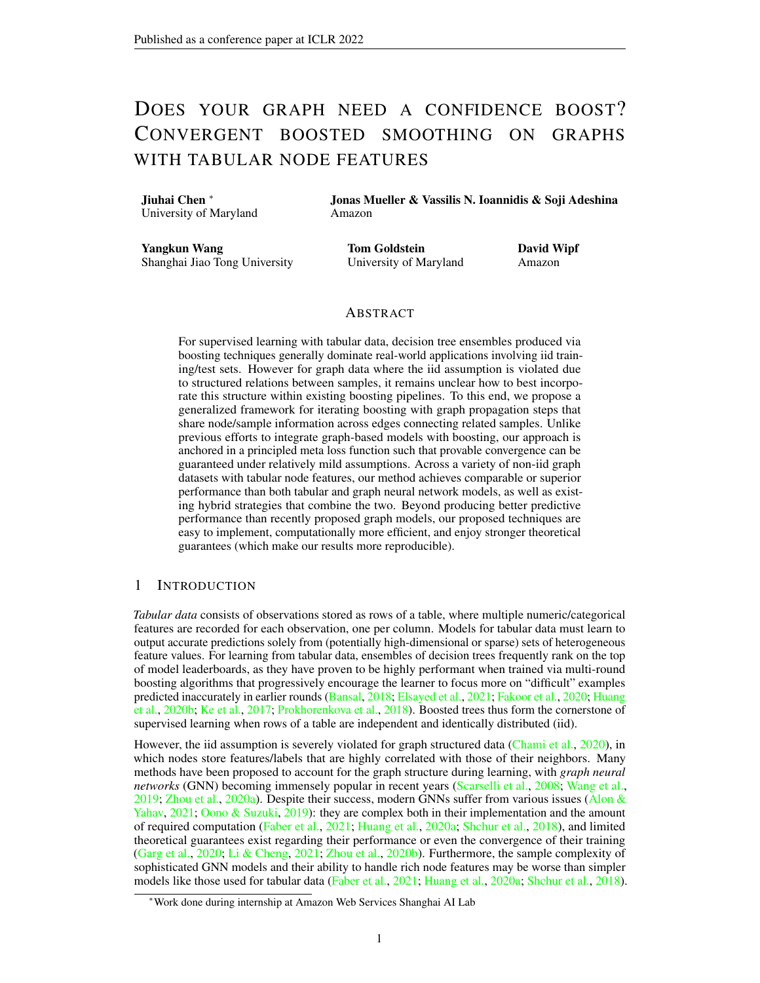<span id="page-15-0"></span>

Figure S2: Training and validation losses vs. number of iterations for the County dataset (regression).



Figure S3: RMSE vs. different value of  $\lambda_V$  for County dataset.

[1.](#page-6-0) Comparing EBBS with momentum (pink line) and EBBS without momentum (orange line) reveals that Nesterov's acceleration method can speed up the convergence of our first-order boosting method.

#### D EXPERIMENT DETAILS

#### D.1 DATASETS

House: node features are the property, edges connect the neighbors and target is the price of the house. County: each node is a county and edges connect two counties sharing a border, the target is the unemployment rate for a county. VK: each node is a person and edges connect two people based on the friendships, the target is the age of a node. Avazu: each node is a device and edges connect two devices if they appear on the same site with the same application, the target is the click-through-rate of a node. DBLP: node feature represent authors, paper and conferences and target is to predict one of the classes (database, data mining, information retrieval and machine learning). SLAP: node features represent network bioinformatics such as chemical compound, gene and pathway, the goal is to predict one of 15 gene type. Coauthor: nodes are authors and an edge connects two authors co-authored a paper. Node features represent paper keywords for each author's papers, and the goal is to predict which fields of study for each author.

For House, County, Vk, Avazu, DBLP and SLAP, [Ivanov & Prokhorenkova](#page-9-11) [\(2021\)](#page-9-11) introduce how to construct the graph model based on tabular data. Furthermore, we randomly split each dataset (train : validation : test =  $6: 2: 2$ ), and repeat all experiments with five different splits reporting the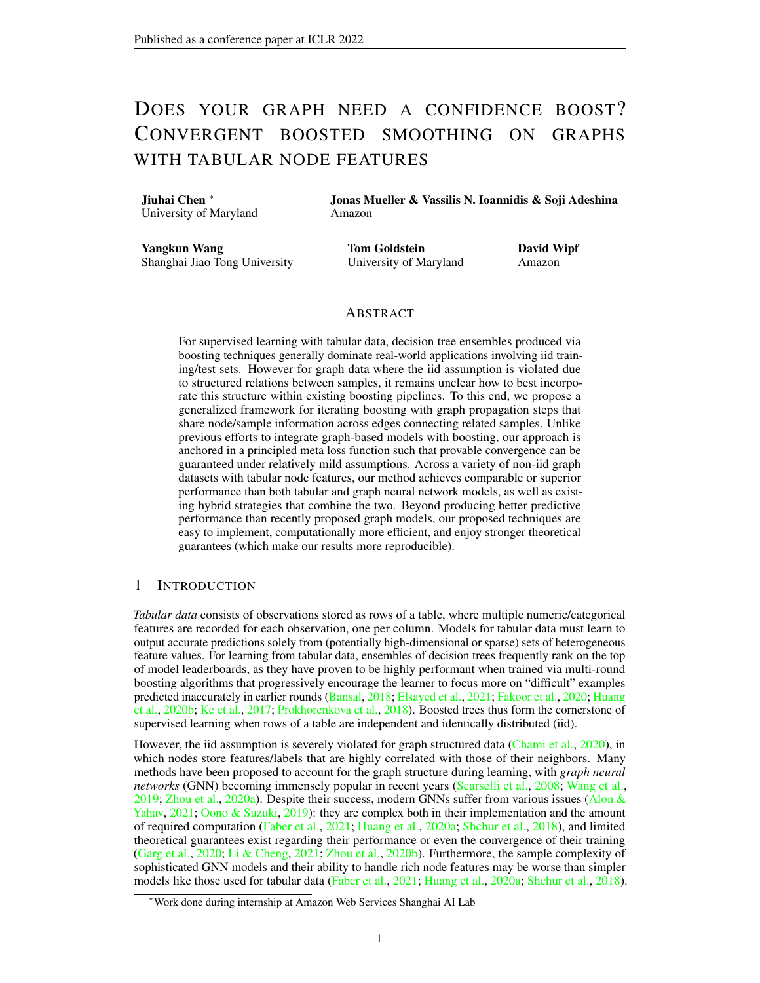average performance (and its standard deviation) over the five replicates. For fair comparison, we use the same splits and random seed as used for BGNN.

#### D.2 BASELINE DETAILS

For regression tasks: GNN baselines are from [Ivanov & Prokhorenkova](#page-9-11) [\(2021\)](#page-9-11).

For classification tasks: GNN baselines for Slap and DBLP are taken from [Ivanov & Prokhorenkova](#page-9-11) [\(2021\)](#page-9-11). For Coauthor-CS and Coauthor-Phy, we implement the GNN models via the DGL framework [\(Wang et al.,](#page-10-2) [2019\)](#page-10-2). For GCN, GAT, and AGNN we train 3 layer models with a hidden node representation of 256. APPNP is implemented with 3 layer MLP before the final message passing layer. We use mini-batch training with neighbor sampling, with a fanout of 15 at each layer, to construct the training subgraph for each mini-batch. We do not tune the hyper-parameters for these models. All models are trained with the Adam optimizer with a learning rate of  $5e^{-3}$ . The results presented for each are the average of 5 runs on the dataset.

#### D.3 MODEL HYPERPARAMETERS

We smooth the node features and concatenate the smoothed values with the original feature values for regression task. Here  $\lambda_x$  is the weight from [\(13\)](#page-5-4) and  $k_x$  is the number of propagation steps. For all regression models, we choose  $\lambda_x = 20$  and  $k_x = 5$ ; for classification we do not use smoothed node features.

EBBS Model. We consider the following hyperparamters:

- $\lambda_y, k_y$ : We propagate over the graph to compute  $\widetilde{f}^{(k)}(X; \mathcal{F}^{(t)})$  via [\(6\)](#page-3-1), where  $\lambda_y$  is the weight in [\(2\)](#page-2-1) (or analogously the more general [\(13\)](#page-5-4)) and  $k_v$  is the number of propagation steps.
- *Smoothing Type*: For the graph propagation required to computed  $\tilde{f}^{(k)}(X;$  (*t*), we choose label smoothing via [\(6\)](#page-3-1), error smoothing using [\(15\)](#page-5-2) or both of them.
- *Boosting Tree LR*: The learning rate of our GBDT model.

Additionally, we encode categorical features as numerical variables via the CatBoost Encoder<sup>[3](#page-0-0)</sup> [Ivanov](#page-9-11) [& Prokhorenkova](#page-9-11) [\(2021\)](#page-9-11). For regression tasks, the number of training epochs is 1000, early stopping rounds is 100. For classification tasks, the number of training epochs is 200, early stopping rounds is 20. Throughout all experiments, we just used the simple Laplacian kernel  $\boldsymbol{L}$  for simplicity, and reserve exploration of alternative kernels in diverse settings for future work. For each iteration, we use CatBoost to find the best weak-learner. All hyperparameter settings are listed in Table [S5,](#page-16-0) and were chosen manually based on validation scores in preliminary experiments. We also use an approach from [\(Wang et al.,](#page-10-13) [2021\)](#page-10-13) to mitigate the data leakage problem.

<span id="page-16-0"></span>

| Dataset              | $\lambda_{V}$ | $k_{V}$ |                 | Smoothing Type Boosting Tree LR |
|----------------------|---------------|---------|-----------------|---------------------------------|
| House                | 2.0           |         | label and error | 0.2                             |
| County               | 2.0           |         | label and error | 0.2                             |
| VK.                  | 50.0          |         | error           | 0.05                            |
| Avazu                | 2.0           |         | label and error | 0.1                             |
| Classification (all) | 2.0           |         | label           |                                 |

Table S5: Hyperparameter settings used for EBBS, which are shared across all random seeds/datasetsplits. We emphasize here that all BGNN results (the SOTA model for graph data with tabular node features) follow the code from <https://github.com/nd7141/bgnn>, which executes a costly independent sweep over 6 hyperparameters for each dataset and for each random seed/dataset-split to achieve the reported performance.

<sup>3</sup> http://contrib.scikit-learn.org/category\_encoders/catboost.html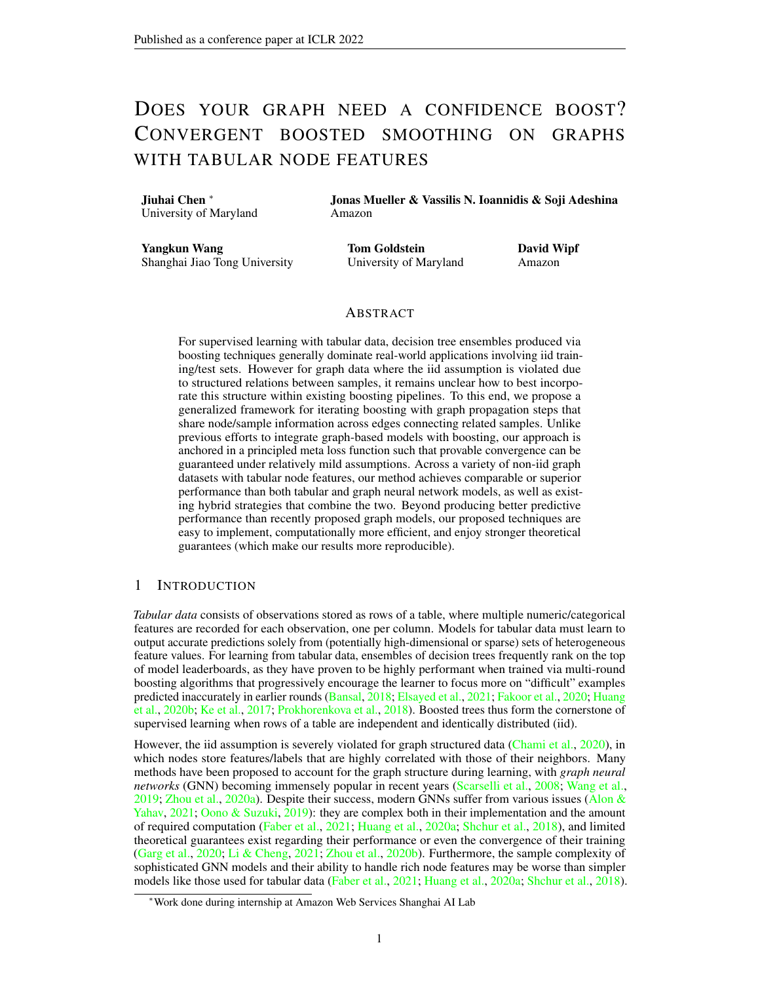## E TECHNICAL DETAILS REGARDING CONVERGENCE

To proceed in a quantifiable way, we rely the concept of *minimal cosine angle* (MCA) defined in [Lu](#page-10-16) [& Mazumder](#page-10-16) [\(2020\)](#page-10-16); [Lu et al.](#page-10-15) [\(2020\)](#page-10-15).

**Definition 1.** *Given a set of* K *weak learners, let*  $B \supseteq R^{n \times K}$  *denote the matrix of predictions of every weak learner over each sample, both training and testing.*[4](#page-0-0) *Then the MCA of this set of weak-learners is defined as*

$$
\min_{\boldsymbol{r} \in \mathbb{R}^n} \max_{j \in [1, ..., K]} \cos(\boldsymbol{b}_j, \boldsymbol{r}),\tag{20}
$$

*where* b:<sup>j</sup> *denotes the* j*-th column of* B*.*

Per this definition,  $2(0, 1]$  can be viewed as an estimate of the "density" of the weak learners in the prediction space, with larger values associated with higher density. We also require the definition of  $\sigma$ -smooth and  $\mu$ -strongly convex functions:

**Definition 2.** *A loss function*  $\bot(y, f)$  *is*  $\sigma$ -smooth *if for any*  $y$  *and any*  $f_1$  *and*  $f_2$ *, we have that* 

$$
\mathcal{L}(y,f_1)\qquad \mathcal{L}(y,f_2)+\frac{\partial \mathcal{L}(y,f_2)}{\partial f}(f_1\qquad f_2)+\frac{\sigma}{2}(f_1\qquad f_2)^2.
$$

*Furthermore,*  $L(y, f)$  *is*  $\mu$ *-strongly convex if for any*  $y$  *and any*  $f_1$  *and*  $f_2$ *, we have that* 

$$
\mathcal{L}(y, f_1) \qquad \mathcal{L}(y, f_2) + \frac{\partial \mathcal{L}(y, f_2)}{\partial f}(f_1 \quad f_2) + \frac{\mu}{2}(f_1 \quad f_2)^2.
$$

We then apply these definitions to obtain two intermediate results that will be leveraged for the main proof:

<span id="page-17-1"></span>**Lemma 1.** *The energy function [\(2\)](#page-2-1) is*  $\sigma$ -*smooth and*  $\mu$ -*strongly convex, with*  $\sigma = \sigma_{\text{max}}(\lambda L + I)$ *and*  $\mu = \sigma_{\min}(\lambda L + I)$ *, where*  $\sigma_{\max}(\lambda L + I)$  *and*  $\sigma_{\min}(\lambda L + I)$  *represent the largest and smallest singular values of*  $\lambda L + I$ *, respectively.* 

The proof is straightforward and follows from computing the Hessian of  $\ell_Z(Z)$ . Additionally, since L is the Laplacian of G, it is positive-semidefinite such that we have  $0 < \mu \quad \sigma < +1$ .

We next turn to the meta-loss [\(7\)](#page-3-4). Note that if  $\mathbf{Z}^{(0)} = f(\mathbf{X};$  ), then the operator  $\mathbf{P}^{(k)}$  collapses to a matrix, meaning  $P^{(k)}[f(X;)] = P^{(k)}f(X;$ , where  $P^{(k)} \supseteq R^{n \times n}$ . This observation then leads to the following:

<span id="page-17-0"></span>**Lemma 2.** Let  $D(u) = kuk_2^2$ ,  $g(u) = u$ ,  $\alpha = k\lambda L + Ik_2^{-1}$  in the loss from [\(7\)](#page-3-4), then we have  $\ell^{(k)}$ *is*  $\sigma^{(k)}$ -smooth, with  $\sigma^{(k)} = \sigma_{\max}(P_{1:m}^{(k)})$  , where  $\sigma_{\max}(P_{1:m}^{(k)})$  represents the largest singular values *of operator* P (k) 1:m*, the subscript* 1 : m *indicates the first* m *rows or elements of a matrix or vector respectively. Moreover, we have*  $0 < \sigma^{(k)} < +1$  *for any* k 0.

The proof is also straightforward given that  $P^{(k)}$  converges to  $(\lambda L + I)^{-1}$  for any  $\alpha - k\lambda L + I k_2^{-1}$ , and the largest singular value of  $P_{1:m}^{(k)}$  is finite.

We now proceed to our specific results related to convergence in the main paper.

**Theorem 1.** Let  $D(u, v) = ku$   $vk_2^2$ ,  $g(u) = u$ , and  $\alpha = k\lambda L + lk_2^{-1}$  in the loss from [\(7\)](#page-3-4). Then *for all* k 0 *and* t 0*, there exists a constant* 2 (0, 1] *and* c > 0 *such that the iterations of Algorithm [1,](#page-4-1) augmented with the momentum factor from [Lu et al.](#page-10-15) [\(2020\)](#page-10-15) and associated momentum*  $\frac{4}{4+2}$ *, satisfy* 

$$
\left| \ell^* \left( \begin{array}{c} * \\ \end{array} \right) \quad \ell^{(k)} \left( \begin{array}{c} (t) \\ \end{array} \right) \right| \qquad O\left( \frac{1}{t^2} + e^{-ck} \right). \tag{21}
$$

<sup>&</sup>lt;sup>4</sup>In the original definition, the MCA only concerns training samples; however, for our situation we must consider all samples due to gradient propagation over the whole graph from the perspective of the weak learners in function space.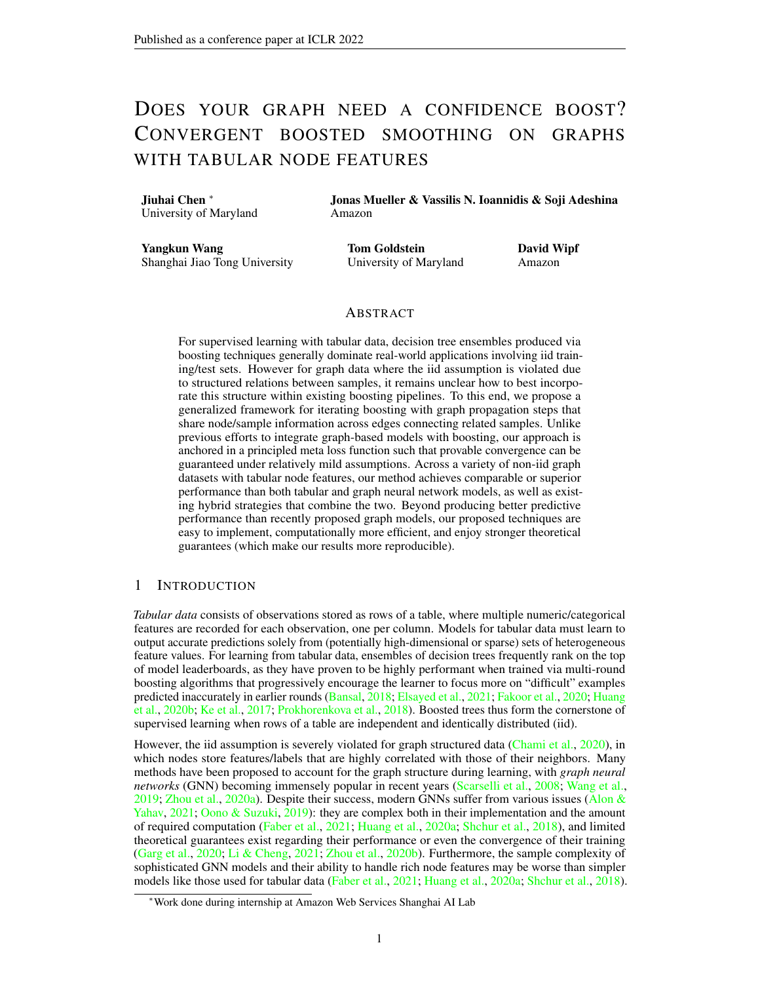*Proof.* Given the stated assumptions, and the initialization  $Z^{(0)}$  discussed above and in the main text, the loss from [\(7\)](#page-3-4) reduces to  $\ell^{(k)}$  ( ) =

$$
\sum_{i=1}^{m} \left( \tilde{f}^{(k)} \left( \mathbf{X}; \ \right)_i \ \mathbf{y}_i \right)^2 \ = \ \sum_{i=1}^{m} \left( \mathbf{P}^{(k)} \left[ f \left( \mathbf{X}; \ \right) \right]_i \ \mathbf{y}_i \right)^2 \ = \ \left\| \mathbf{P}^{(k)}_{1:m} f \left( \mathbf{X}; \ \right) \ \mathbf{y}_{1:m} \right\|_2^2, \ (22)
$$

where the subscript  $1 : m$  indicates the first m rows or elements of a matrix or vector respectively.

Lemma [2](#page-17-0) implies that  $\ell^{(k)}$  is  $\sigma^{(k)}$ -smooth. We may then apply gradient boosting machine convergence results from [Lu et al.](#page-10-15) [\(2020\)](#page-10-15)[Theorem 4.1] that apply to this setting. Specifically, assuming a constant step-size rule with  $\eta = 1/\sigma^{(k)}$  and momentum parameter  $\phi$  $4/(4 + 2)$ , where denotes the value of the corresponding MCA defined above, it follows that

$$
\ell^{(k)}(\ ^{(t)})\quad \ell^{(k)}(\ ^{*})\quad \frac{\sigma^{(k)}}{2\phi(t+1)^2}kf(\mathbf{X};\ ^{*})k_2^2\tag{23}
$$

<span id="page-18-0"></span>for all  $t \neq 0$ .

Furthermore, based on [Bubeck](#page-20-0) [\(2014\)](#page-20-0)[Theorem 3.10], Lemma [1,](#page-17-1) and the step-size  $\alpha = 1/\sigma$ , we can establish that the descent iterations from  $(6)$ , which reduce  $(2)$ , will satisfy

$$
\left\| \boldsymbol{P}^{(k)} f(\boldsymbol{X}; \cdot) \boldsymbol{P}^* f(\boldsymbol{X}; \cdot) \right\|_2^2 \quad e^{-k} \left\| \boldsymbol{P}^{(0)} f(\boldsymbol{X}; \cdot) \boldsymbol{P}^* f(\boldsymbol{X}; \cdot) \right\|_2^2. \tag{24}
$$

where P ,  $P_{1:m}$  for all variants. Since this bound must hold for any value of  $f(X; )$ , by choosing  $f(X; ) = I$ , we can infer that

<span id="page-18-3"></span>
$$
\left\| P^{(k)} \quad P^* \right\|_2^2 \quad e^{-k} \left\| P^{(0)} \quad P^* \right\|_2^2, \tag{25}
$$

or equivalently

<span id="page-18-4"></span><span id="page-18-2"></span><span id="page-18-1"></span>
$$
\left\| P^{(k)} \quad P^* \right\|_2 \quad e^{-\frac{1}{2}k} \left\| P^{(0)} \quad P^* \right\|_2. \tag{26}
$$

Denote  $f^{(k)}(\mathbf{X}; \cdot^*)$  as the optimal solution of  $\ell^{(k)}$ . From [\(23\)](#page-18-0), it follows that

$$
\left\| \boldsymbol{P}^{(k)} f\left(\boldsymbol{X}; \quad^{(t)}\right) \boldsymbol{y} \right\|_{2}^{2} \quad \left\| \boldsymbol{P}^{(k)} f^{(k)}\left(\boldsymbol{X}; \quad^{*}\right) \boldsymbol{y} \right\|_{2}^{2} \quad \frac{\sigma^{(k)}}{2\phi(t+1)^{2}} k f(\boldsymbol{X}; \quad^{*}) k_{2}^{2}, \quad (27)
$$

where  $y$ ,  $y_{1:m}$  analogous to P. Denote  $f(x; * )$  as the optimal solution of  $\ell^*$ . Since  $f^{(k)}(x; * )$ is the optimal solution of  $\ell^{(k)}$ , we also have that

$$
\left\| P^{(k)} f^{(k)}(\mathbf{X}; \ ^{*}) \ \mathbf{y} \right\|_{2}^{2} = \left\| P^{(k)} f(\mathbf{X}; \ ^{*}) \ \mathbf{y} \right\|_{2}^{2}
$$
\n
$$
= \left\| \left( P^{(k)} \ P^{*} \right) f(\mathbf{X}; \ ^{*}) + P^{*} f(\mathbf{X}; \ ^{*}) \ \mathbf{y} \right\|_{2}^{2}
$$
\n
$$
\left\| \left( P^{(k)} \ P^{*} \right) f(\mathbf{X}; \ ^{*}) \right\|_{2}^{2} + \left\| P^{*} f(\mathbf{X}; \ ^{*}) \ \mathbf{y} \right\|_{2}^{2}
$$
\n
$$
+ 2 \left\| \left( P^{(k)} \ P^{*} \right) f(\mathbf{X}; \ ^{*}) \right\|_{2} \left\| P^{*} f(\mathbf{X}; \ ^{*}) \ \mathbf{y} \right\|_{2} .
$$
\n(28)

Adding  $(27)$  and  $(28)$  then leads to

$$
\left\| P^{(k)} f\left(X; \stackrel{(t)}{)} \right) y \right\|_2^2 \frac{\sigma^{(k)}}{2\phi(t+1)^2} \left\| f(X; \stackrel{*}{)}{)} \right\|_2^2 + \left\| \left( P^{(k)} P^* \right) f(X; \stackrel{*}{)}{)} \right\|_2^2
$$
  
+ 
$$
\left\| P^* f(X; \stackrel{*}{)}{)} y \right\|_2^2 + 2 \left\| \left( P^{(k)} P^* \right) f(X; \stackrel{*}{)}{)} \right\|_2 \left\| P^* f(X; \stackrel{*}{)}{)} y \right\|_2^2
$$
  
(29)

.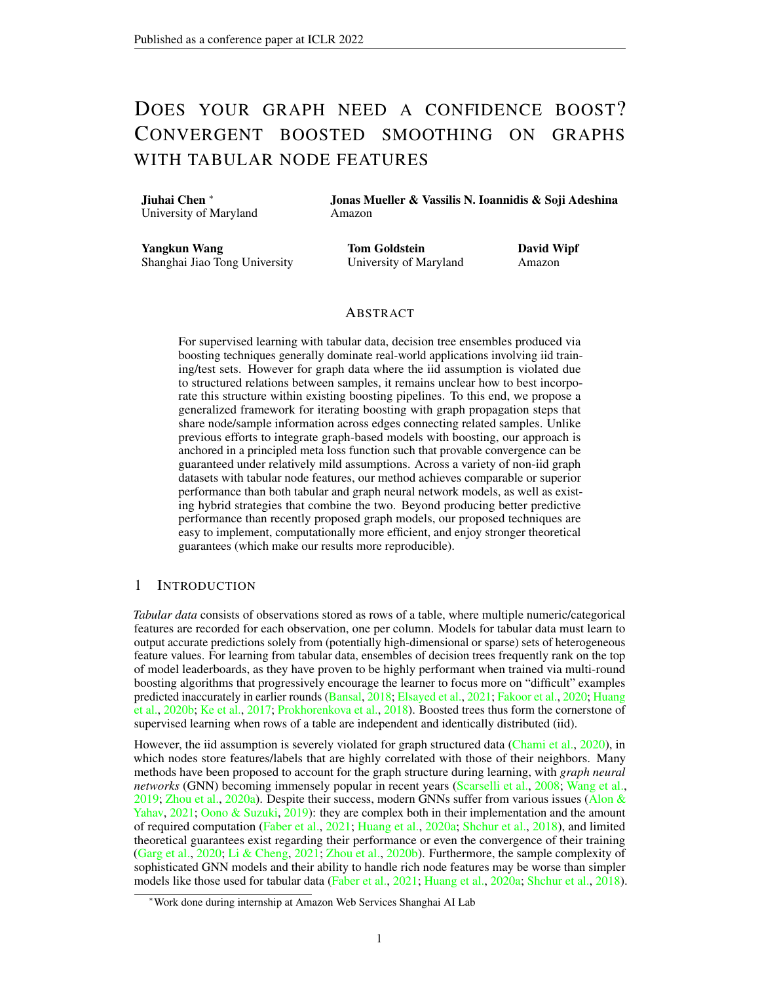And by changing the order of terms, we can produce

<span id="page-19-0"></span>
$$
\left\| P^{(k)} f \left( \mathbf{X}; \ {}^{(t)} \right) \mathbf{y} \right\|_{2} \left\| P^* f \left( \mathbf{X}; \ {}^* \right) \mathbf{y} \right\|_{2}^{2} \n\frac{\sigma^{(k)}}{2\phi(t+1)^2} \left\| f(\mathbf{X}; \ {}^* \right) \right\|_{2}^{2} + \left\| \left( P^{(k)} \ P^* \right) f \left( \mathbf{X}; \ {}^* \right) \right\|_{2}^{2} \n+ 2 \left\| \left( P^{(k)} \ P^* \right) f \left( \mathbf{X}; \ {}^* \right) \right\|_{2} \left\| P^* f \left( \mathbf{X}; \ {}^* \right) \mathbf{y} \right\|_{2} \n\frac{\sigma^{(k)}}{2\phi(t+1)^2} \left\| f(\mathbf{X}; \ {}^* \right) \right\|_{2}^{2} + \left\| \left( P^{(k)} \ P^* \right) \right\|_{2}^{2} \left\| f \left( \mathbf{X}; \ {}^* \right) \right\|_{2}^{2} \n+ 2 \left\| \left( P^{(k)} \ P^* \right) \right\|_{2} \left\| f \left( \mathbf{X}; \ {}^* \right) \right\|_{2} \left\| P^* f \left( \mathbf{X}; \ {}^* \right) \mathbf{y} \right\|_{2} \nO \left( \frac{1}{t^2} \right) + O \left( e^{-\kappa} \right) + O \left( e^{-\frac{\tau}{2} \kappa} \right) \nO \left( \frac{1}{t^2} + e^{-c\kappa} \right),
$$
\n(30)

where  $c = -$  and we have applied [\(25\)](#page-18-3) and [\(26\)](#page-18-4) in producing the second-to-last inequality. And finally, since  $f(X; * )$  is the optimal solution of  $\ell^*$ , we also have

$$
\left\| P^* f(X; \cdot^*) y \right\|_2^2 = \left\| P^* f(X; \cdot^{(t)}) y \right\|_2^2
$$
  
\n
$$
= \left\| \left( P^* P^{(k)} \right) f(X; \cdot^{(t)}) \right\|_2^2 + \left\| P^{(k)} f(X; \cdot^{(t)}) y \right\|_2^2 (31)
$$
  
\n
$$
+ 2 \left\| \left( P^* P^{(k)} \right) f(X; \cdot^{(t)}) y \right\|_2 \left\| P^{(k)} f(X; \cdot^{(t)}) y \right\|_2.
$$

And by changing the order of terms, we arrive at

$$
\left\| P^{(k)} f\left(X; \stackrel{(t)}{\right)} y \right\|_2^2 \left\| P^* f(X; \stackrel{(t)}{\right)} y \right\|_2^2
$$
  

$$
\left\| \left( P^* P^{(k)} \right) f\left(X; \stackrel{(t)}{\right)} \right\|_2^2 2 \left\| \left( P^* P^{(k)} \right) f\left(X; \stackrel{(t)}{\right)} \right\|_2 \left\| P^{(k)} f\left(X; \stackrel{(t)}{\right)} y \right\|_2
$$
  

$$
O(e^{-ck}). \tag{32}
$$

Combining  $(30)$  and  $(32)$ , we have

<span id="page-19-1"></span>
$$
O(e^{-ck})
$$
  $\ell^{(k)}(\tau^{(t)})$   $\ell^*(\tau^{*})$   $O\left(\frac{1}{t^2}+e^{-ck}\right)$ ,

from which it follows that

$$
\left| \ell^{(k)} \left( \begin{array}{c} (t) \\ (t) \end{array} \right) \ell^* \left( \begin{array}{c} * \\ * \end{array} \right) \right| \qquad O\left( \frac{1}{t^2} + e^{-ck} \right) \tag{33}
$$

which concludes the proof.

To prove the Corollary [1,](#page-6-1) we introduce Lemma [3](#page-19-2) firstly.

<span id="page-19-2"></span>**Lemma 3.** Let  $D(u) = k u k_2^2$ ,  $g(u) = u$ ,  $\alpha = k \lambda L + I k_2^{-1}$  in the loss from [\(7\)](#page-3-4). Additionally, a *penalty factor*  $\varepsilon$ kf( $X$ ;  $\big)$ k $^2$ <sub>*F*</sub> is added to [\(7\)](#page-3-4), then we have  $\ell^{(k)}$  is  $\sigma^{(k)}$ -smooth and  $\mu$ -strongly convex, *where*  $\sigma^{(k)} = \sigma_{\max}(\mathbf{P}_{1:m}^{(k)})$  *and*  $\mu = \epsilon$ . Moreover, we have  $0 < \mu < \sigma^{(k)} < +1$  for any k 0.

 $\Box$